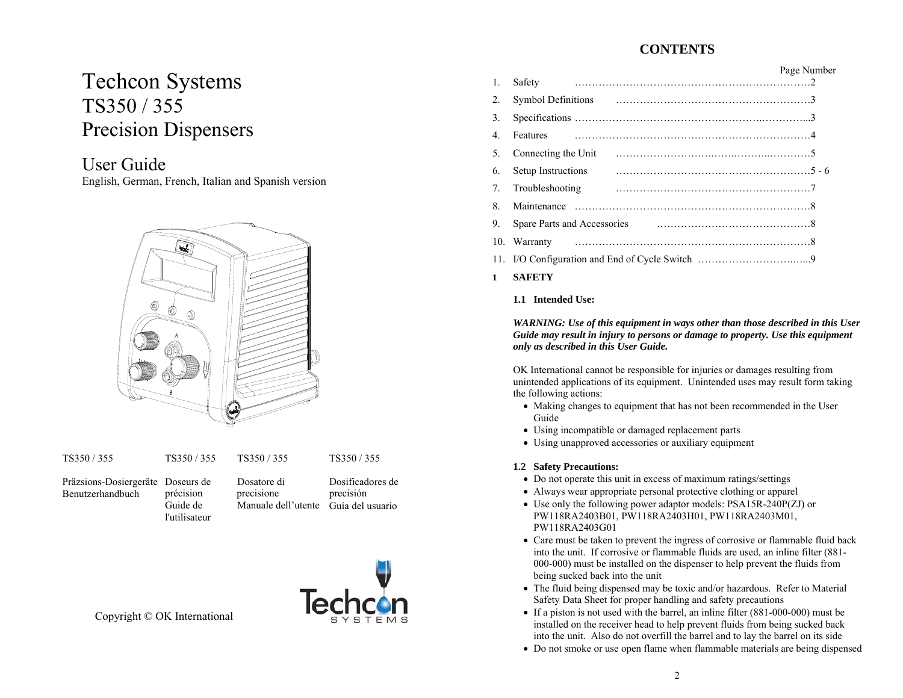# **CONTENTS**

# Techcon Systems TS350 / 355 Precision Dispensers

# User Guide

English, German, French, Italian and Spanish version



TS350 / 355

Präzsions-Dosiergeräte Doseurs de Benutzerhandbuchprécision Guide de

l'utilisateurDosatore di precisione

TS350 / 355

Manuale dell'utente Guía del usuario Dosificadores de precisión

TS350 / 355



Copyright © OK International

| $\mathbf{1}$ . | Safety                        | Page Number |
|----------------|-------------------------------|-------------|
|                |                               |             |
| $2$ .          |                               |             |
| 3.             |                               |             |
| $\mathbf{4}$ . | <b>Features</b>               |             |
| 5.             | Connecting the Unit           |             |
| 6.             | $5 - 6$<br>Setup Instructions |             |
| 7 <sub>1</sub> | Troubleshooting               |             |
| 8.             |                               |             |
| 9.             |                               |             |
|                |                               |             |
|                |                               |             |
|                |                               |             |

**1SAFETY**

### **1.1 Intended Use:**

*WARNING: Use of this equipment in ways other than those described in this User Guide may result in injury to persons or damage to property. Use this equipment only as described in this User Guide.* 

OK International cannot be responsible for injuries or damages resulting from unintended applications of its equipment. Unintended uses may result form taking the following actions:

- Making changes to equipment that has not been recommended in the User Guide
- Using incompatible or damaged replacement parts
- Using unapproved accessories or auxiliary equipment

### **1.2 Safety Precautions:**

- Do not operate this unit in excess of maximum ratings/settings
- Always wear appropriate personal protective clothing or apparel
- Use only the following power adaptor models: PSA15R-240P(ZJ) or PW118RA2403B01, PW118RA2403H01, PW118RA2403M01, PW118RA2403G01
- Care must be taken to prevent the ingress of corrosive or flammable fluid back into the unit. If corrosive or flammable fluids are used, an inline filter (881- 000-000) must be installed on the dispenser to help prevent the fluids from being sucked back into the unit
- The fluid being dispensed may be toxic and/or hazardous. Refer to Material Safety Data Sheet for proper handling and safety precautions
- If a piston is not used with the barrel, an inline filter (881-000-000) must be installed on the receiver head to help prevent fluids from being sucked back into the unit. Also do not overfill the barrel and to lay the barrel on its side
- Do not smoke or use open flame when flammable materials are being dispensed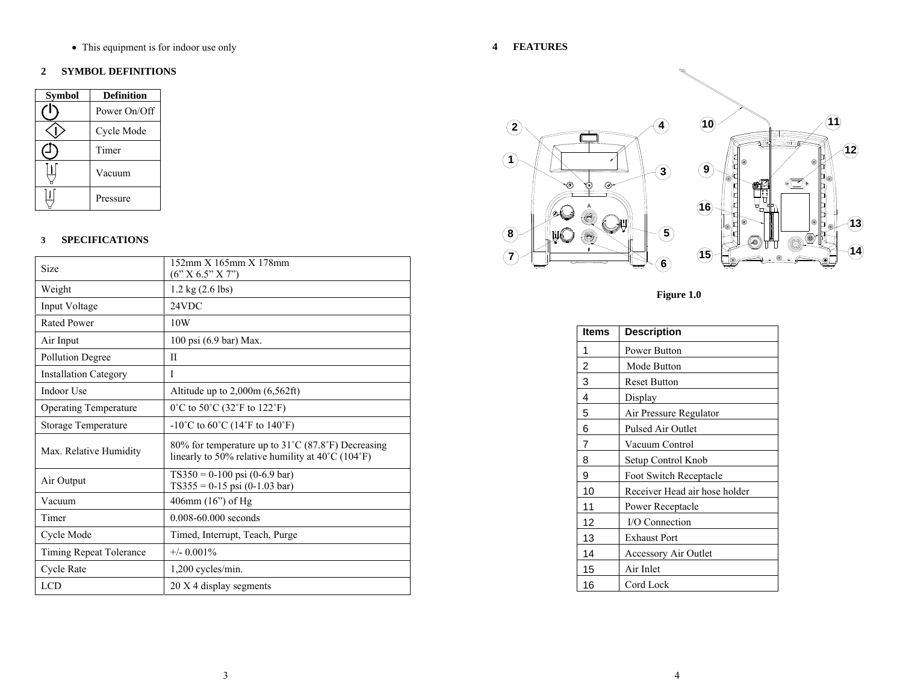• This equipment is for indoor use only

#### **2 SYMBOL DEFINITIONS**

| <b>Symbol</b> | <b>Definition</b> |
|---------------|-------------------|
|               | Power On/Off      |
|               | Cycle Mode        |
|               | Timer             |
|               | Vacuum            |
|               | Pressure          |

#### **3 SPECIFICATIONS**

| Size                         | 152mm X 165mm X 178mm<br>(6" X 6.5" X 7")                                                                                    |
|------------------------------|------------------------------------------------------------------------------------------------------------------------------|
| Weight                       | $1.2 \text{ kg} (2.6 \text{ lbs})$                                                                                           |
| Input Voltage                | 24VDC                                                                                                                        |
| <b>Rated Power</b>           | 10W                                                                                                                          |
| Air Input                    | 100 psi (6.9 bar) Max.                                                                                                       |
| <b>Pollution Degree</b>      | П                                                                                                                            |
| <b>Installation Category</b> | I                                                                                                                            |
| Indoor Use                   | Altitude up to $2,000m$ (6,562ft)                                                                                            |
| <b>Operating Temperature</b> | $0^{\circ}$ C to 50 $^{\circ}$ C (32 $^{\circ}$ F to 122 $^{\circ}$ F)                                                       |
| Storage Temperature          | -10°C to 60°C (14°F to 140°F)                                                                                                |
| Max. Relative Humidity       | 80% for temperature up to 31°C (87.8°F) Decreasing<br>linearly to 50% relative humility at $40^{\circ}$ C (104 $^{\circ}$ F) |
| Air Output                   | $TS350 = 0-100$ psi (0-6.9 bar)<br>$TS355 = 0-15$ psi (0-1.03 bar)                                                           |
| Vacuum                       | 406mm (16") of Hg                                                                                                            |
| Timer                        | $0.008 - 60.000$ seconds                                                                                                     |
| Cycle Mode                   | Timed, Interrupt, Teach, Purge                                                                                               |
| Timing Repeat Tolerance      | $+/- 0.001\%$                                                                                                                |
| Cycle Rate                   | 1,200 cycles/min.                                                                                                            |
| <b>LCD</b>                   | 20 X 4 display segments                                                                                                      |

**4 FEATURES** 



**Figure 1.0** 

| <b>Items</b> | <b>Description</b>            |
|--------------|-------------------------------|
| 1            | <b>Power Button</b>           |
| 2            | Mode Button                   |
| 3            | <b>Reset Button</b>           |
| 4            | Display                       |
| 5            | Air Pressure Regulator        |
| 6            | <b>Pulsed Air Outlet</b>      |
| 7            | Vacuum Control                |
| 8            | Setup Control Knob            |
| 9            | Foot Switch Receptacle        |
| 10           | Receiver Head air hose holder |
| 11           | Power Receptacle              |
| 12           | I/O Connection                |
| 13           | <b>Exhaust Port</b>           |
| 14           | Accessory Air Outlet          |
| 15           | Air Inlet                     |
| 16           | Cord Lock                     |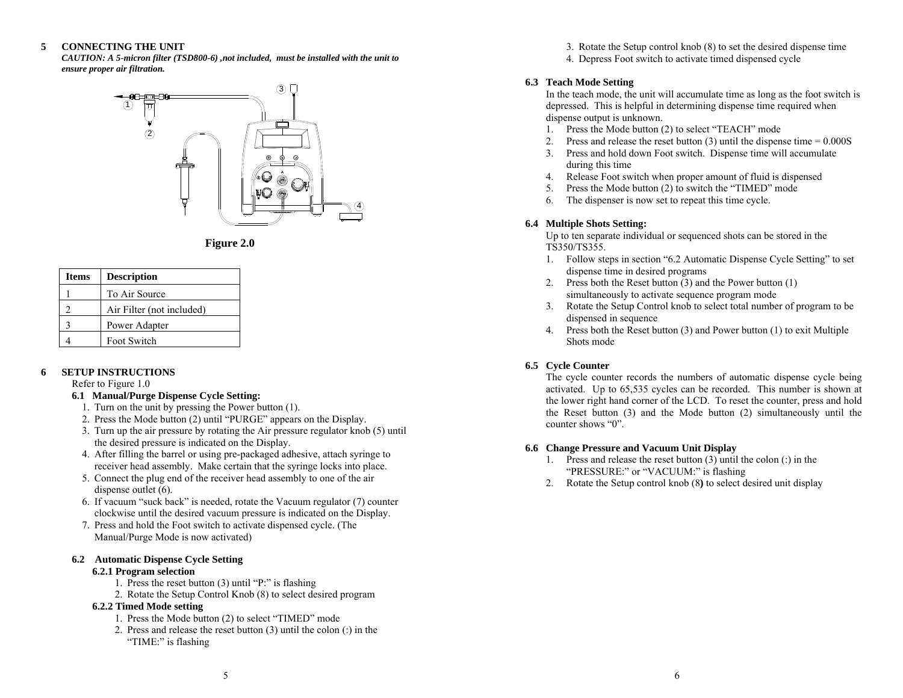#### **5CONNECTING THE UNIT**

*CAUTION: A 5-micron filter (TSD800-6) ,not included, must be installed with the unit to ensure proper air filtration.* 



**Figure 2.0** 

| <b>Items</b> | <b>Description</b>        |
|--------------|---------------------------|
|              | To Air Source             |
| າ            | Air Filter (not included) |
| ζ            | Power Adapter             |
|              | Foot Switch               |

#### **6SETUP INSTRUCTIONS**

Refer to Figure 1.0

#### **6.1 Manual/Purge Dispense Cycle Setting:**

- 1. Turn on the unit by pressing the Power button (1).
- 2. Press the Mode button (2) until "PURGE" appears on the Display.
- 3. Turn up the air pressure by rotating the Air pressure regulator knob (5) until the desired pressure is indicated on the Display.
- 4. After filling the barrel or using pre-packaged adhesive, attach syringe to receiver head assembly. Make certain that the syringe locks into place.
- 5. Connect the plug end of the receiver head assembly to one of the air dispense outlet (6).
- 6. If vacuum "suck back" is needed, rotate the Vacuum regulator (7) counter clockwise until the desired vacuum pressure is indicated on the Display.
- 7. Press and hold the Foot switch to activate dispensed cycle. (The Manual/Purge Mode is now activated)

# **6.2 Automatic Dispense Cycle Setting**

#### **6.2.1 Program selection**

- 1. Press the reset button (3) until "P:" is flashing
- 2. Rotate the Setup Control Knob (8) to select desired program

### **6.2.2 Timed Mode setting**

- 1. Press the Mode button (2) to select "TIMED" mode
- 2. Press and release the reset button (3) until the colon (:) in the "TIME:" is flashing

3. Rotate the Setup control knob (8) to set the desired dispense time

4. Depress Foot switch to activate timed dispensed cycle

### **6.3 Teach Mode Setting**

In the teach mode, the unit will accumulate time as long as the foot switch is depressed. This is helpful in determining dispense time required when dispense output is unknown.

- 1. Press the Mode button (2) to select "TEACH" mode
- 2. Press and release the reset button  $(3)$  until the dispense time =  $0.000S$
- 3. Press and hold down Foot switch. Dispense time will accumulate during this time
- 4. Release Foot switch when proper amount of fluid is dispensed
- 5. Press the Mode button (2) to switch the "TIMED" mode
- 6. The dispenser is now set to repeat this time cycle.

### **6.4 Multiple Shots Setting:**

Up to ten separate individual or sequenced shots can be stored in the TS350/TS355.

- 1. Follow steps in section "6.2 Automatic Dispense Cycle Setting" to set dispense time in desired programs
- 2. Press both the Reset button (3) and the Power button (1) simultaneously to activate sequence program mode
- 3. Rotate the Setup Control knob to select total number of program to be dispensed in sequence
- 4. Press both the Reset button (3) and Power button (1) to exit Multiple Shots mode

### **6.5 Cycle Counter**

The cycle counter records the numbers of automatic dispense cycle being activated. Up to 65,535 cycles can be recorded. This number is shown at the lower right hand corner of the LCD. To reset the counter, press and hold the Reset button (3) and the Mode button (2) simultaneously until the counter shows "0".

### **6.6 Change Pressure and Vacuum Unit Display**

- 1. Press and release the reset button (3) until the colon (:) in the "PRESSURE:" or "VACUUM:" is flashing
- 2. Rotate the Setup control knob (8**)** to select desired unit display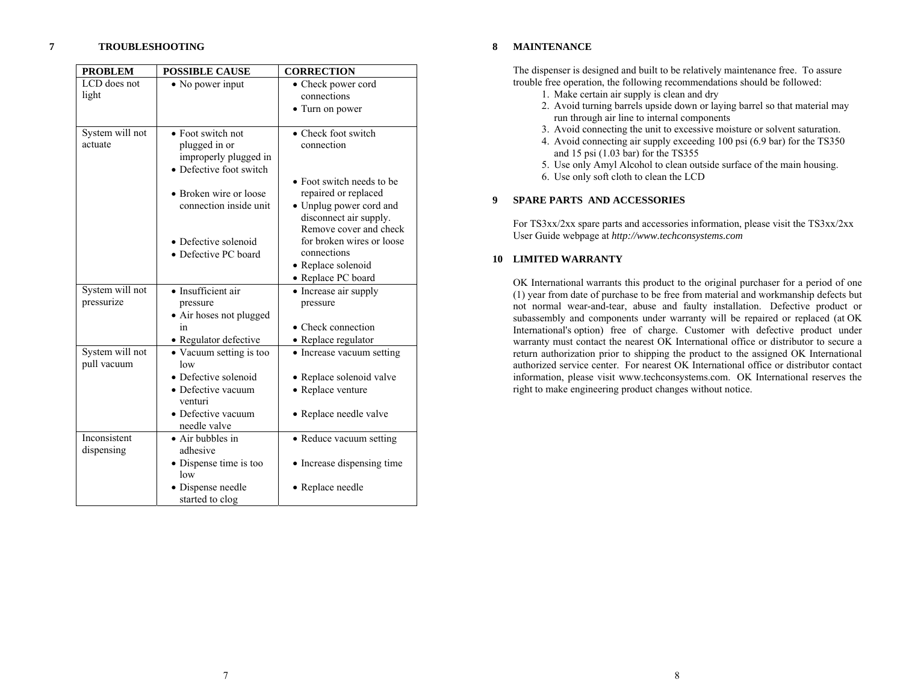#### **7TROUBLESHOOTING**

| <b>PROBLEM</b>                 | <b>POSSIBLE CAUSE</b>                                                                                                                                                                      | <b>CORRECTION</b>                                                                                                                                                                                                 |
|--------------------------------|--------------------------------------------------------------------------------------------------------------------------------------------------------------------------------------------|-------------------------------------------------------------------------------------------------------------------------------------------------------------------------------------------------------------------|
| LCD does not                   | • No power input                                                                                                                                                                           | • Check power cord                                                                                                                                                                                                |
| light                          |                                                                                                                                                                                            | connections                                                                                                                                                                                                       |
|                                |                                                                                                                                                                                            | • Turn on power                                                                                                                                                                                                   |
| System will not<br>actuate     | • Foot switch not<br>plugged in or<br>improperly plugged in<br>• Defective foot switch<br>• Broken wire or loose<br>connection inside unit<br>• Defective solenoid<br>• Defective PC board | • Check foot switch<br>connection<br>• Foot switch needs to be<br>repaired or replaced<br>• Unplug power cord and<br>disconnect air supply.<br>Remove cover and check<br>for broken wires or loose<br>connections |
|                                |                                                                                                                                                                                            | • Replace solenoid<br>• Replace PC board                                                                                                                                                                          |
| System will not                | • Insufficient air                                                                                                                                                                         | • Increase air supply                                                                                                                                                                                             |
| pressurize                     | pressure                                                                                                                                                                                   | pressure                                                                                                                                                                                                          |
|                                | • Air hoses not plugged                                                                                                                                                                    |                                                                                                                                                                                                                   |
|                                | in                                                                                                                                                                                         | • Check connection                                                                                                                                                                                                |
|                                | · Regulator defective                                                                                                                                                                      | • Replace regulator                                                                                                                                                                                               |
| System will not<br>pull vacuum | • Vacuum setting is too<br>low                                                                                                                                                             | • Increase vacuum setting                                                                                                                                                                                         |
|                                | • Defective solenoid                                                                                                                                                                       | • Replace solenoid valve                                                                                                                                                                                          |
|                                | • Defective vacuum<br>venturi                                                                                                                                                              | • Replace venture                                                                                                                                                                                                 |
|                                | · Defective vacuum<br>needle valve                                                                                                                                                         | • Replace needle valve                                                                                                                                                                                            |
| Inconsistent<br>dispensing     | • Air bubbles in<br>adhesive                                                                                                                                                               | • Reduce vacuum setting                                                                                                                                                                                           |
|                                | • Dispense time is too<br>low                                                                                                                                                              | • Increase dispensing time                                                                                                                                                                                        |
|                                | • Dispense needle<br>started to clog                                                                                                                                                       | • Replace needle                                                                                                                                                                                                  |

#### **8MAINTENANCE**

The dispenser is designed and built to be relatively maintenance free. To assure trouble free operation, the following recommendations should be followed:

- 1. Make certain air supply is clean and dry
- 2. Avoid turning barrels upside down or laying barrel so that material may run through air line to internal components
- 3. Avoid connecting the unit to excessive moisture or solvent saturation.
- 4. Avoid connecting air supply exceeding 100 psi (6.9 bar) for the TS350 and 15 psi (1.03 bar) for the TS355
- 5. Use only Amyl Alcohol to clean outside surface of the main housing.
- 6. Use only soft cloth to clean the LCD

#### **9SPARE PARTS AND ACCESSORIES**

For TS3xx/2xx spare parts and accessories information, please visit the TS3xx/2xx User Guide webpage at *http://www.techconsystems.com*

#### **10 LIMITED WARRANTY**

OK International warrants this product to the original purchaser for a period of one (1) year from date of purchase to be free from material and workmanship defects but not normal wear-and-tear, abuse and faulty installation. Defective product or subassembly and components under warranty will be repaired or replaced (at OK International's option) free of charge. Customer with defective product under warranty must contact the nearest OK International office or distributor to secure a return authorization prior to shipping the product to the assigned OK International authorized service center. For nearest OK International office or distributor contact information, please visit www.techconsystems.com. OK International reserves the right to make engineering product changes without notice.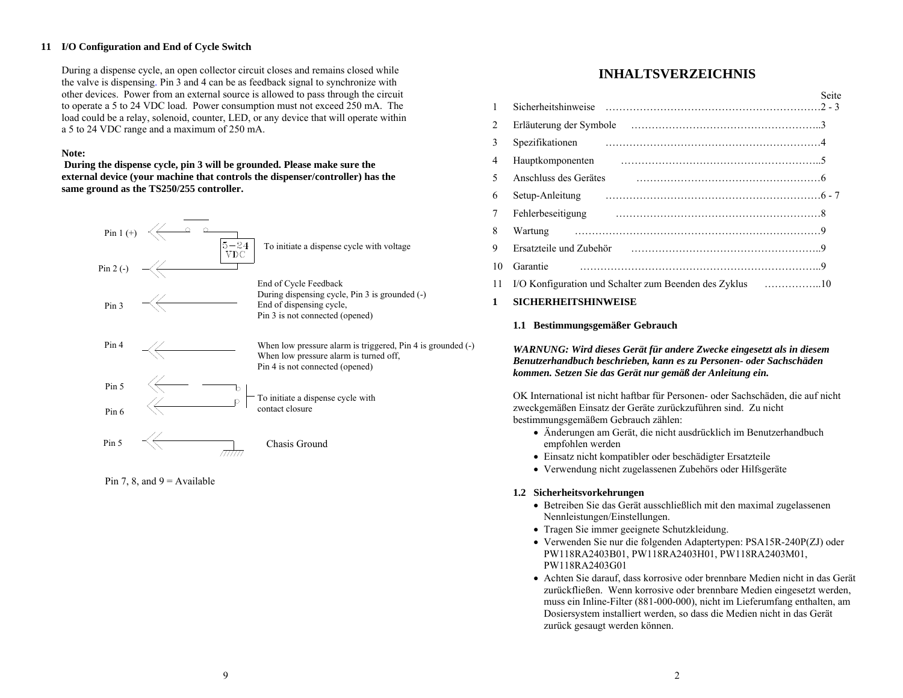#### **11 I/O Configuration and End of Cycle Switch**

During a dispense cycle, an open collector circuit closes and remains closed while the valve is dispensing. Pin 3 and 4 can be as feedback signal to synchronize with other devices. Power from an external source is allowed to pass through the circuit to operate a 5 to 24 VDC load. Power consumption must not exceed 250 mA. The load could be a relay, solenoid, counter, LED, or any device that will operate within a 5 to 24 VDC range and a maximum of 250 mA.

#### **Note:**

 **During the dispense cycle, pin 3 will be grounded. Please make sure the external device (your machine that controls the dispenser/controller) has the same ground as the TS250/255 controller.** 



Pin 7, 8, and  $9 =$  Available

# **INHALTSVERZEICHNIS**

| $\mathbf{1}$ |                                                                                                                                                                                                                                | Seite |
|--------------|--------------------------------------------------------------------------------------------------------------------------------------------------------------------------------------------------------------------------------|-------|
| 2            |                                                                                                                                                                                                                                |       |
| 3            |                                                                                                                                                                                                                                |       |
| 4            | Hauptkomponenten                                                                                                                                                                                                               |       |
| 5            | Anschluss des Gerätes                                                                                                                                                                                                          |       |
| 6            | Setup-Anleitung                                                                                                                                                                                                                |       |
| 7            | Fehlerbeseitigung                                                                                                                                                                                                              |       |
| 8            | Wartung                                                                                                                                                                                                                        |       |
| 9            | Ersatzteile und Zubehör (etwase et al., et al., et al., et al., et al., et al., et al., et al., et al., et al., et al., et al., et al., et al., et al., et al., et al., et al., et al., et al., et al., et al., et al., et al. |       |
| 10           | Garantie                                                                                                                                                                                                                       |       |
| 11           | I/O Konfiguration und Schalter zum Beenden des Zyklus 10                                                                                                                                                                       |       |

#### **1SICHERHEITSHINWEISE**

#### **1.1 Bestimmungsgemäßer Gebrauch**

*WARNUNG: Wird dieses Gerät für andere Zwecke eingesetzt als in diesem Benutzerhandbuch beschrieben, kann es zu Personen- oder Sachschäden kommen. Setzen Sie das Gerät nur gemäß der Anleitung ein.*

OK International ist nicht haftbar für Personen- oder Sachschäden, die auf nicht zweckgemäßen Einsatz der Geräte zurückzuführen sind. Zu nicht bestimmungsgemäßem Gebrauch zählen:

- Änderungen am Gerät, die nicht ausdrücklich im Benutzerhandbuch empfohlen werden
- Einsatz nicht kompatibler oder beschädigter Ersatzteile
- Verwendung nicht zugelassenen Zubehörs oder Hilfsgeräte

#### **1.2 Sicherheitsvorkehrungen**

- Betreiben Sie das Gerät ausschließlich mit den maximal zugelassenen Nennleistungen/Einstellungen.
- Tragen Sie immer geeignete Schutzkleidung.
- Verwenden Sie nur die folgenden Adaptertypen: PSA15R-240P(ZJ) oder PW118RA2403B01, PW118RA2403H01, PW118RA2403M01, PW118RA2403G01
- Achten Sie darauf, dass korrosive oder brennbare Medien nicht in das Gerät zurückfließen. Wenn korrosive oder brennbare Medien eingesetzt werden, muss ein Inline-Filter (881-000-000), nicht im Lieferumfang enthalten, am Dosiersystem installiert werden, so dass die Medien nicht in das Gerät zurück gesaugt werden können.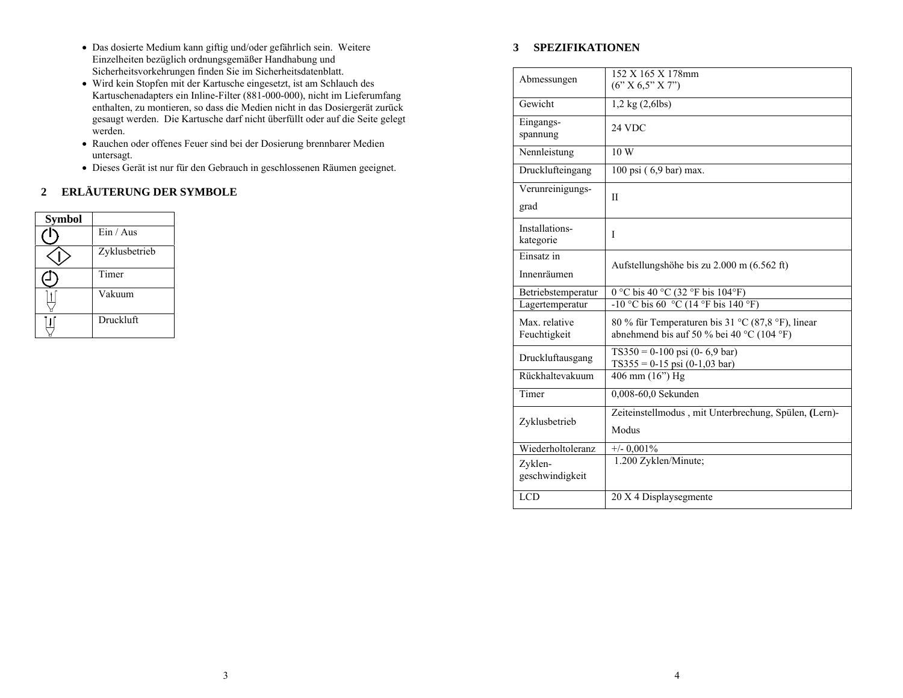- Das dosierte Medium kann giftig und/oder gefährlich sein. Weitere Einzelheiten bezüglich ordnungsgemäßer Handhabung und Sicherheitsvorkehrungen finden Sie im Sicherheitsdatenblatt.
- Wird kein Stopfen mit der Kartusche eingesetzt, ist am Schlauch des Kartuschenadapters ein Inline-Filter (881-000-000), nicht im Lieferumfang enthalten, zu montieren, so dass die Medien nicht in das Dosiergerät zurück gesaugt werden. Die Kartusche darf nicht überfüllt oder auf die Seite gelegt werden.
- Rauchen oder offenes Feuer sind bei der Dosierung brennbarer Medien untersagt.
- Dieses Gerät ist nur für den Gebrauch in geschlossenen Räumen geeignet.

### **2 ERLÄUTERUNG DER SYMBOLE**

| <b>Symbol</b> |               |
|---------------|---------------|
|               | Ein / Aus     |
|               | Zyklusbetrieb |
|               | Timer         |
|               | Vakuum        |
|               | Druckluft     |

# **3 SPEZIFIKATIONEN**

| Abmessungen                   | 152 X 165 X 178mm<br>$(6'' \times 6.5'' \times 7'')$                                           |
|-------------------------------|------------------------------------------------------------------------------------------------|
| Gewicht                       | $1,2$ kg $(2,6$ lbs)                                                                           |
| Eingangs-<br>spannung         | 24 VDC                                                                                         |
| Nennleistung                  | 10W                                                                                            |
| Drucklufteingang              | 100 psi (6,9 bar) max.                                                                         |
| Verunreinigungs-<br>grad      | $\mathbf{I}$                                                                                   |
| Installations-<br>kategorie   | I                                                                                              |
| Einsatz in<br>Innenräumen     | Aufstellungshöhe bis zu 2.000 m (6.562 ft)                                                     |
| Betriebstemperatur            | $\overline{0\,^{\circ}\text{C}}$ bis 40 °C (32 °F bis 104°F)                                   |
| Lagertemperatur               | -10 °C bis 60 °C (14 °F bis 140 °F)                                                            |
| Max. relative<br>Feuchtigkeit | 80 % für Temperaturen bis 31 °C (87,8 °F), linear<br>abnehmend bis auf 50 % bei 40 °C (104 °F) |
| Druckluftausgang              | $TS350 = 0-100$ psi (0-6,9 bar)<br>$TS355 = 0-15$ psi (0-1,03 bar)                             |
| Rückhaltevakuum               | 406 mm (16") Hg                                                                                |
|                               |                                                                                                |
| Timer                         | $0,008-60,0$ Sekunden                                                                          |
| Zyklusbetrieb                 | Zeiteinstellmodus, mit Unterbrechung, Spülen, (Lern)-<br>Modus                                 |
| Wiederholtoleranz             | $+/- 0,001\%$                                                                                  |
| Zyklen-<br>geschwindigkeit    | 1.200 Zyklen/Minute;                                                                           |
| <b>LCD</b>                    | 20 X 4 Displaysegmente                                                                         |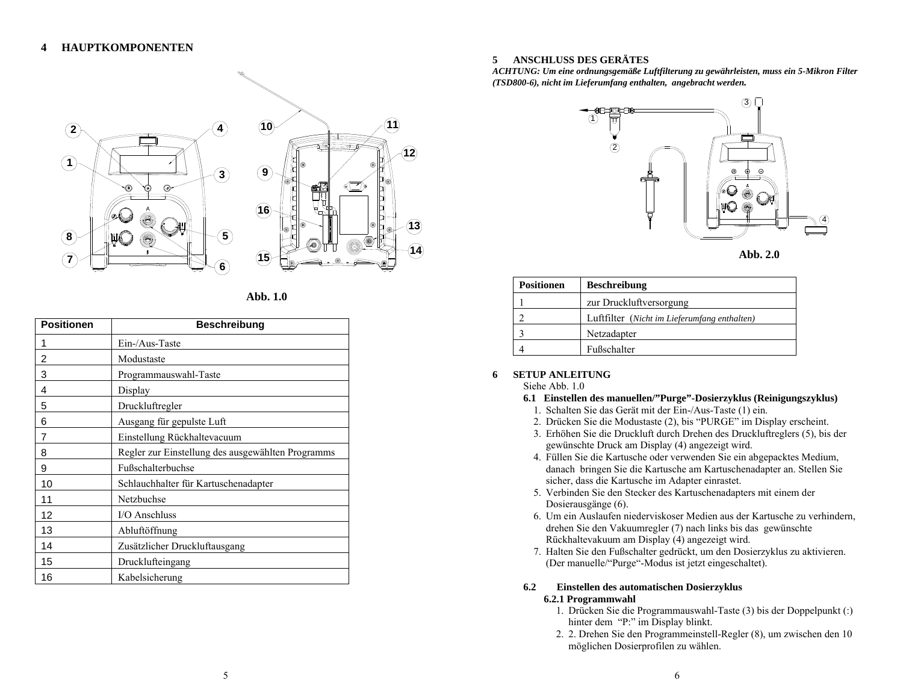

| Abb. 1.0 |  |
|----------|--|
|          |  |

| <b>Positionen</b> | <b>Beschreibung</b>                               |
|-------------------|---------------------------------------------------|
| 1                 | Ein-/Aus-Taste                                    |
| 2                 | Modustaste                                        |
| 3                 | Programmauswahl-Taste                             |
| 4                 | Display                                           |
| 5                 | Druckluftregler                                   |
| 6                 | Ausgang für gepulste Luft                         |
| 7                 | Einstellung Rückhaltevacuum                       |
| 8                 | Regler zur Einstellung des ausgewählten Programms |
| 9                 | Fußschalterbuchse                                 |
| 10                | Schlauchhalter für Kartuschenadapter              |
| 11                | Netzbuchse                                        |
| 12                | I/O Anschluss                                     |
| 13                | Abluftöffnung                                     |
| 14                | Zusätzlicher Druckluftausgang                     |
| 15                | Drucklufteingang                                  |
| 16                | Kabelsicherung                                    |

### **5 ANSCHLUSS DES GERÄTES**

*ACHTUNG: Um eine ordnungsgemäße Luftfilterung zu gewährleisten, muss ein 5-Mikron Filter (TSD800-6), nicht im Lieferumfang enthalten, angebracht werden.* 



**Abb. 2.0** 

| <b>Positionen</b> | <b>Beschreibung</b>                          |
|-------------------|----------------------------------------------|
|                   | zur Druckluftversorgung                      |
|                   | Luftfilter (Nicht im Lieferumfang enthalten) |
|                   | Netzadapter                                  |
|                   | Fußschalter                                  |

#### **6SETUP ANLEITUNG**

Siehe Abb. 1.0

#### **6.1 Einstellen des manuellen/"Purge"-Dosierzyklus (Reinigungszyklus)**

- 1. Schalten Sie das Gerät mit der Ein-/Aus-Taste (1) ein.
- 2. Drücken Sie die Modustaste (2), bis "PURGE" im Display erscheint.
- 3. Erhöhen Sie die Druckluft durch Drehen des Druckluftreglers (5), bis der gewünschte Druck am Display (4) angezeigt wird.
- 4. Füllen Sie die Kartusche oder verwenden Sie ein abgepacktes Medium, danach bringen Sie die Kartusche am Kartuschenadapter an. Stellen Sie sicher, dass die Kartusche im Adapter einrastet.
- 5. Verbinden Sie den Stecker des Kartuschenadapters mit einem der Dosierausgänge (6).
- 6. Um ein Auslaufen niederviskoser Medien aus der Kartusche zu verhindern, drehen Sie den Vakuumregler (7) nach links bis das gewünschte Rückhaltevakuum am Display (4) angezeigt wird.
- 7. Halten Sie den Fußschalter gedrückt, um den Dosierzyklus zu aktivieren. (Der manuelle/"Purge"-Modus ist jetzt eingeschaltet).

### **6.2 Einstellen des automatischen Dosierzyklus**

### **6.2.1 Programmwahl**

- 1. Drücken Sie die Programmauswahl-Taste (3) bis der Doppelpunkt (:) hinter dem "P:" im Display blinkt.
- 2. 2. Drehen Sie den Programmeinstell-Regler (8), um zwischen den 10 möglichen Dosierprofilen zu wählen.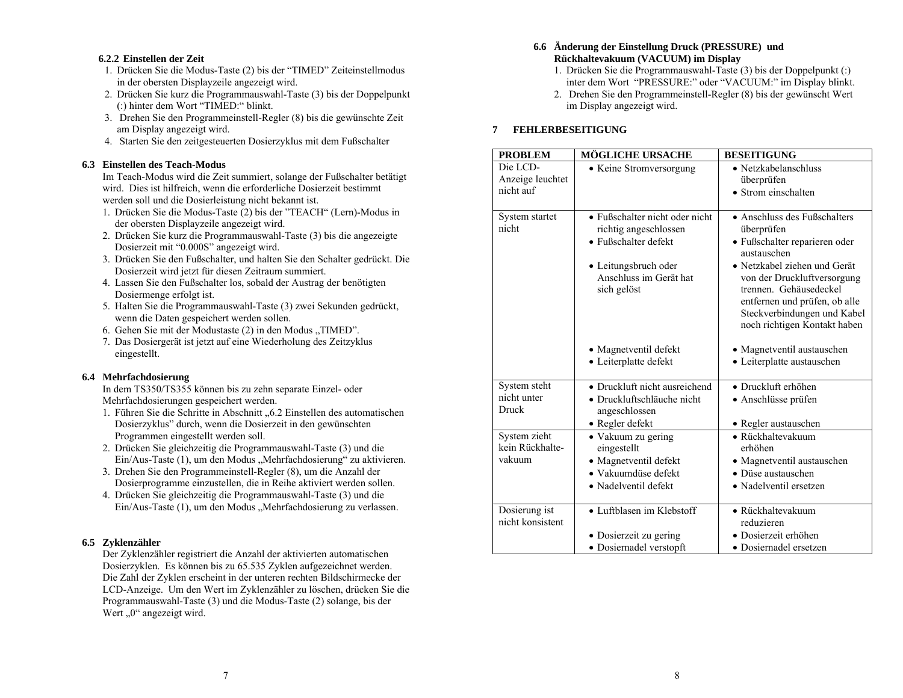#### **6.2.2 Einstellen der Zeit**

- 1. Drücken Sie die Modus-Taste (2) bis der "TIMED" Zeiteinstellmodus in der obersten Displayzeile angezeigt wird.
- 2. Drücken Sie kurz die Programmauswahl-Taste (3) bis der Doppelpunkt (:) hinter dem Wort "TIMED:" blinkt.
- 3. Drehen Sie den Programmeinstell-Regler (8) bis die gewünschte Zeit am Display angezeigt wird.
- 4. Starten Sie den zeitgesteuerten Dosierzyklus mit dem Fußschalter

### **6.3 Einstellen des Teach-Modus**

Im Teach-Modus wird die Zeit summiert, solange der Fußschalter betätigt wird. Dies ist hilfreich, wenn die erforderliche Dosierzeit bestimmt werden soll und die Dosierleistung nicht bekannt ist.

- 1. Drücken Sie die Modus-Taste (2) bis der "TEACH" (Lern)-Modus in der obersten Displayzeile angezeigt wird.
- 2. Drücken Sie kurz die Programmauswahl-Taste (3) bis die angezeigte Dosierzeit mit "0.000S" angezeigt wird.
- 3. Drücken Sie den Fußschalter, und halten Sie den Schalter gedrückt. Die Dosierzeit wird jetzt für diesen Zeitraum summiert.
- 4. Lassen Sie den Fußschalter los, sobald der Austrag der benötigten Dosiermenge erfolgt ist.
- 5. Halten Sie die Programmauswahl-Taste (3) zwei Sekunden gedrückt, wenn die Daten gespeichert werden sollen.
- 6. Gehen Sie mit der Modustaste (2) in den Modus "TIMED".
- 7. Das Dosiergerät ist jetzt auf eine Wiederholung des Zeitzyklus eingestellt.

### **6.4 Mehrfachdosierung**

In dem TS350/TS355 können bis zu zehn separate Einzel- oder Mehrfachdosierungen gespeichert werden.

- 1. Führen Sie die Schritte in Abschnitt "6.2 Einstellen des automatischen Dosierzyklus" durch, wenn die Dosierzeit in den gewünschten Programmen eingestellt werden soll.
- 2. Drücken Sie gleichzeitig die Programmauswahl-Taste (3) und die Ein/Aus-Taste (1), um den Modus "Mehrfachdosierung" zu aktivieren.
- 3. Drehen Sie den Programmeinstell-Regler (8), um die Anzahl der Dosierprogramme einzustellen, die in Reihe aktiviert werden sollen.
- 4. Drücken Sie gleichzeitig die Programmauswahl-Taste (3) und die Ein/Aus-Taste (1), um den Modus "Mehrfachdosierung zu verlassen.

### **6.5 Zyklenzähler**

Der Zyklenzähler registriert die Anzahl der aktivierten automatischen Dosierzyklen. Es können bis zu 65.535 Zyklen aufgezeichnet werden. Die Zahl der Zyklen erscheint in der unteren rechten Bildschirmecke der LCD-Anzeige. Um den Wert im Zyklenzähler zu löschen, drücken Sie die Programmauswahl-Taste (3) und die Modus-Taste (2) solange, bis der Wert  $.0$ " angezeigt wird.

#### **6.6 Änderung der Einstellung Druck (PRESSURE) und Rückhaltevakuum (VACUUM) im Display**

- 1. Drücken Sie die Programmauswahl-Taste (3) bis der Doppelpunkt (:) inter dem Wort "PRESSURE:" oder "VACUUM:" im Display blinkt.
- 2. Drehen Sie den Programmeinstell-Regler (8) bis der gewünscht Wert im Display angezeigt wird.

#### **7FEHLERBESEITIGUNG**

| <b>PROBLEM</b>          | <b>MÖGLICHE URSACHE</b>               | <b>BESEITIGUNG</b>                                    |
|-------------------------|---------------------------------------|-------------------------------------------------------|
| Die LCD-                | • Keine Stromversorgung               | • Netzkabelanschluss                                  |
| Anzeige leuchtet        |                                       | überprüfen                                            |
| nicht auf               |                                       | • Strom einschalten                                   |
|                         |                                       |                                                       |
| System startet<br>nicht | • Fußschalter nicht oder nicht        | • Anschluss des Fußschalters                          |
|                         | richtig angeschlossen                 | überprüfen                                            |
|                         | • Fußschalter defekt                  | · Fußschalter reparieren oder<br>austauschen          |
|                         | • Leitungsbruch oder                  | • Netzkabel ziehen und Gerät                          |
|                         | Anschluss im Gerät hat<br>sich gelöst | von der Druckluftversorgung<br>trennen. Gehäusedeckel |
|                         |                                       | entfernen und prüfen, ob alle                         |
|                         |                                       | Steckverbindungen und Kabel                           |
|                         |                                       | noch richtigen Kontakt haben                          |
|                         | • Magnetventil defekt                 | • Magnetventil austauschen                            |
|                         | • Leiterplatte defekt                 | • Leiterplatte austauschen                            |
| System steht            | • Druckluft nicht ausreichend         | • Druckluft erhöhen                                   |
| nicht unter             | • Druckluftschläuche nicht            | • Anschlüsse prüfen                                   |
| Druck                   | angeschlossen                         |                                                       |
|                         | • Regler defekt                       | • Regler austauschen                                  |
| System zieht            | • Vakuum zu gering                    | • Rückhaltevakuum                                     |
| kein Rückhalte-         | eingestellt                           | erhöhen                                               |
| vakuum                  | • Magnetventil defekt                 | • Magnetventil austauschen                            |
|                         | • Vakuumdüse defekt                   | • Düse austauschen                                    |
|                         | • Nadelventil defekt                  | • Nadelventil ersetzen                                |
| Dosierung ist           | • Luftblasen im Klebstoff             | • Rückhaltevakuum                                     |
| nicht konsistent        |                                       | reduzieren                                            |
|                         | • Dosierzeit zu gering                | · Dosierzeit erhöhen                                  |
|                         | · Dosiernadel verstopft               | • Dosiernadel ersetzen                                |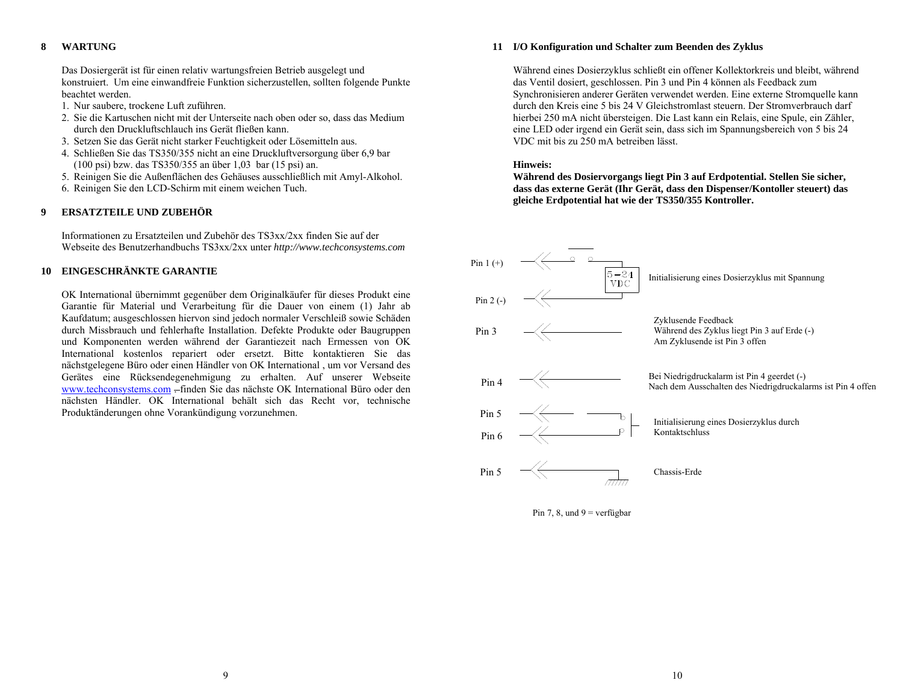#### **8WARTUNG**

Das Dosiergerät ist für einen relativ wartungsfreien Betrieb ausgelegt und konstruiert. Um eine einwandfreie Funktion sicherzustellen, sollten folgende Punkte beachtet werden.

- 1. Nur saubere, trockene Luft zuführen.
- 2. Sie die Kartuschen nicht mit der Unterseite nach oben oder so, dass das Medium durch den Druckluftschlauch ins Gerät fließen kann.
- 3. Setzen Sie das Gerät nicht starker Feuchtigkeit oder Lösemitteln aus.
- 4. Schließen Sie das TS350/355 nicht an eine Druckluftversorgung über 6,9 bar (100 psi) bzw. das TS350/355 an über 1,03 bar (15 psi) an.
- 5. Reinigen Sie die Außenflächen des Gehäuses ausschließlich mit Amyl-Alkohol.
- 6. Reinigen Sie den LCD-Schirm mit einem weichen Tuch.

#### **9ERSATZTEILE UND ZUBEHÖR**

Informationen zu Ersatzteilen und Zubehör des TS3xx/2xx finden Sie auf der Webseite des Benutzerhandbuchs TS3xx/2xx unter *http://www.techconsystems.com*

#### **10 EINGESCHRÄNKTE GARANTIE**

OK International übernimmt gegenüber dem Originalkäufer für dieses Produkt eine Garantie für Material und Verarbeitung für die Dauer von einem (1) Jahr ab Kaufdatum; ausgeschlossen hiervon sind jedoch normaler Verschleiß sowie Schäden durch Missbrauch und fehlerhafte Installation. Defekte Produkte oder Baugruppen und Komponenten werden während der Garantiezeit nach Ermessen von OK International kostenlos repariert oder ersetzt. Bitte kontaktieren Sie das nächstgelegene Büro oder einen Händler von OK International , um vor Versand des Gerätes eine Rücksendegenehmigung zu erhalten. Auf unserer Webseite www.techconsystems.com . finden Sie das nächste OK International Büro oder den nächsten Händler. OK International behält sich das Recht vor, technische Produktänderungen ohne Vorankündigung vorzunehmen.

#### **11 I/O Konfiguration und Schalter zum Beenden des Zyklus**

Während eines Dosierzyklus schließt ein offener Kollektorkreis und bleibt, während das Ventil dosiert, geschlossen. Pin 3 und Pin 4 können als Feedback zum Synchronisieren anderer Geräten verwendet werden. Eine externe Stromquelle kann durch den Kreis eine 5 bis 24 V Gleichstromlast steuern. Der Stromverbrauch darf hierbei 250 mA nicht übersteigen. Die Last kann ein Relais, eine Spule, ein Zähler, eine LED oder irgend ein Gerät sein, dass sich im Spannungsbereich von 5 bis 24 VDC mit bis zu 250 mA betreiben lässt.

#### **Hinweis:**

**Während des Dosiervorgangs liegt Pin 3 auf Erdpotential. Stellen Sie sicher, dass das externe Gerät (Ihr Gerät, dass den Dispenser/Kontoller steuert) das gleiche Erdpotential hat wie der TS350/355 Kontroller.** 

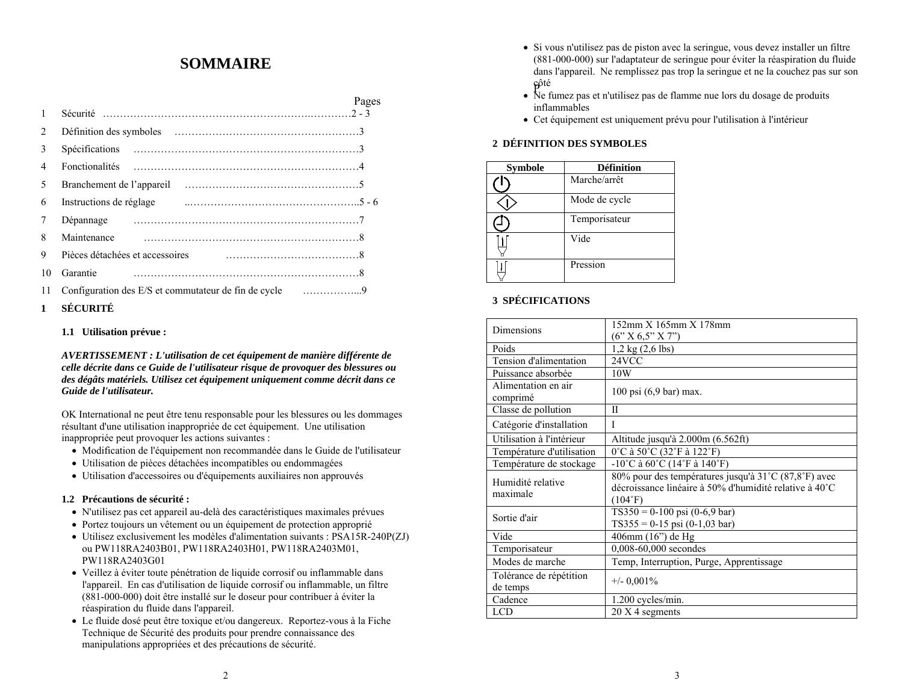# **SOMMAIRE**

| 1              |                                                        | Pages |
|----------------|--------------------------------------------------------|-------|
| $\overline{2}$ |                                                        |       |
| 3              |                                                        |       |
| $\overline{4}$ |                                                        |       |
| 5              |                                                        |       |
| 6              | Instructions de réglage                                |       |
| 7              |                                                        |       |
| 8              | Maintenance                                            |       |
| 9              | Pièces détachées et accessoires                        |       |
| 10             | Garantie                                               |       |
| 11             | Configuration des E/S et commutateur de fin de cycle 9 |       |
|                |                                                        |       |

#### **1 SÉCURITÉ**

#### **1.1 Utilisation prévue :**

*AVERTISSEMENT : L'utilisation de cet équipement de manière différente de celle décrite dans ce Guide de l'utilisateur risque de provoquer des blessures ou des dégâts matériels. Utilisez cet équipement uniquement comme décrit dans ce Guide de l'utilisateur.*

OK International ne peut être tenu responsable pour les blessures ou les dommages résultant d'une utilisation inappropriée de cet équipement. Une utilisation inappropriée peut provoquer les actions suivantes :

- Modification de l'équipement non recommandée dans le Guide de l'utilisateur
- Utilisation de pièces détachées incompatibles ou endommagées
- Utilisation d'accessoires ou d'équipements auxiliaires non approuvés

#### **1.2 Précautions de sécurité :**

- N'utilisez pas cet appareil au-delà des caractéristiques maximales prévues
- Portez toujours un vêtement ou un équipement de protection approprié
- Utilisez exclusivement les modèles d'alimentation suivants : PSA15R-240P(ZJ) ou PW118RA2403B01, PW118RA2403H01, PW118RA2403M01, PW118RA2403G01
- Veillez à éviter toute pénétration de liquide corrosif ou inflammable dans l'appareil. En cas d'utilisation de liquide corrosif ou inflammable, un filtre (881-000-000) doit être installé sur le doseur pour contribuer à éviter la réaspiration du fluide dans l'appareil.
- Le fluide dosé peut être toxique et/ou dangereux. Reportez-vous à la Fiche Technique de Sécurité des produits pour prendre connaissance des manipulations appropriées et des précautions de sécurité.
- fôté • Si vous n'utilisez pas de piston avec la seringue, vous devez installer un filtre (881-000-000) sur l'adaptateur de seringue pour éviter la réaspiration du fluide dans l'appareil. Ne remplissez pas trop la seringue et ne la couchez pas sur son
- Ne fumez pas et n'utilisez pas de flamme nue lors du dosage de produits inflammables
- Cet équipement est uniquement prévu pour l'utilisation à l'intérieur

#### **2 DÉFINITION DES SYMBOLES**

| <b>Symbole</b> | <b>Définition</b> |
|----------------|-------------------|
|                | Marche/arrêt      |
|                | Mode de cycle     |
|                | Temporisateur     |
|                | Vide              |
|                | Pression          |

### **3 SPÉCIFICATIONS**

|                                     | 152mm X 165mm X 178mm                                                                                                     |
|-------------------------------------|---------------------------------------------------------------------------------------------------------------------------|
| Dimensions                          |                                                                                                                           |
|                                     | (6" X 6.5" X 7")                                                                                                          |
| Poids                               | $1,2$ kg $(2,6$ lbs)                                                                                                      |
| Tension d'alimentation              | 24VCC                                                                                                                     |
| Puissance absorbée                  | 10W                                                                                                                       |
| Alimentation en air<br>comprimé     | 100 psi (6,9 bar) max.                                                                                                    |
| Classe de pollution                 | Н                                                                                                                         |
| Catégorie d'installation            | L                                                                                                                         |
| Utilisation à l'intérieur           | Altitude jusqu'à 2.000m (6.562ft)                                                                                         |
| Température d'utilisation           | 0°C à 50°C (32°F à 122°F)                                                                                                 |
| Température de stockage             | $-10^{\circ}$ C à 60 $^{\circ}$ C (14 $^{\circ}$ F à 140 $^{\circ}$ F)                                                    |
| Humidité relative<br>maximale       | 80% pour des températures jusqu'à 31°C (87,8°F) avec<br>décroissance linéaire à 50% d'humidité relative à 40°C<br>(104°F) |
| Sortie d'air                        | $TS350 = 0-100$ psi (0-6,9 bar)<br>$TS355 = 0-15$ psi (0-1,03 bar)                                                        |
| Vide                                | 406mm (16") de Hg                                                                                                         |
| Temporisateur                       | 0,008-60,000 secondes                                                                                                     |
| Modes de marche                     | Temp, Interruption, Purge, Apprentissage                                                                                  |
| Tolérance de répétition<br>de temps | $+/-$ 0,001%                                                                                                              |
| Cadence                             | 1.200 cycles/min.                                                                                                         |
| <b>LCD</b>                          | 20 X 4 segments                                                                                                           |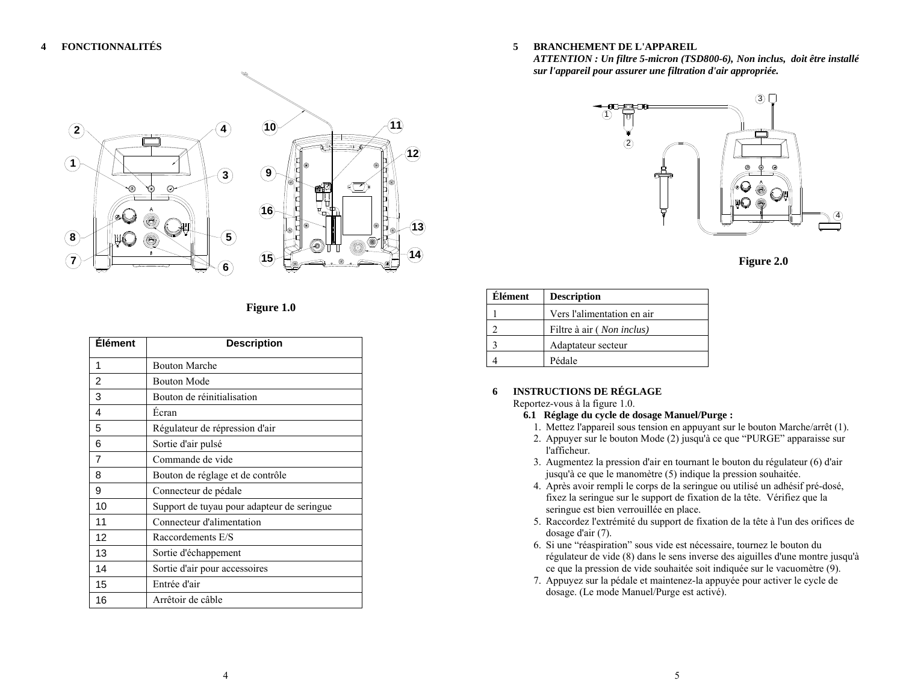

### **Figure 1.0**

| <b>Élément</b> | <b>Description</b>                         |
|----------------|--------------------------------------------|
| 1              | <b>Bouton Marche</b>                       |
| $\overline{2}$ | <b>Bouton Mode</b>                         |
| 3              | Bouton de réinitialisation                 |
| 4              | Ecran                                      |
| 5              | Régulateur de répression d'air             |
| 6              | Sortie d'air pulsé                         |
| 7              | Commande de vide                           |
| 8              | Bouton de réglage et de contrôle           |
| 9              | Connecteur de pédale                       |
| 10             | Support de tuyau pour adapteur de seringue |
| 11             | Connecteur d'alimentation                  |
| 12             | Raccordements E/S                          |
| 13             | Sortie d'échappement                       |
| 14             | Sortie d'air pour accessoires              |
| 15             | Entrée d'air                               |
| 16             | Arrêtoir de câble                          |

#### **5BRANCHEMENT DE L'APPAREIL**

*ATTENTION : Un filtre 5-micron (TSD800-6), Non inclus, doit être installé sur l'appareil pour assurer une filtration d'air appropriée.*





| Élément | <b>Description</b>         |
|---------|----------------------------|
|         | Vers l'alimentation en air |
|         | Filtre à air (Non inclus)  |
|         | Adaptateur secteur         |
|         | Pédale                     |

#### **6INSTRUCTIONS DE RÉGLAGE**

Reportez-vous à la figure 1.0.

- **6.1 Réglage du cycle de dosage Manuel/Purge :** 
	- 1. Mettez l'appareil sous tension en appuyant sur le bouton Marche/arrêt (1).
	- 2. Appuyer sur le bouton Mode (2) jusqu'à ce que "PURGE" apparaisse sur l'afficheur.
	- 3. Augmentez la pression d'air en tournant le bouton du régulateur (6) d'air jusqu'à ce que le manomètre (5) indique la pression souhaitée.
- 4. Après avoir rempli le corps de la seringue ou utilisé un adhésif pré-dosé, fixez la seringue sur le support de fixation de la tête. Vérifiez que la seringue est bien verrouillée en place.
- 5. Raccordez l'extrémité du support de fixation de la tête à l'un des orifices de dosage d'air (7).
- 6. Si une "réaspiration" sous vide est nécessaire, tournez le bouton du régulateur de vide (8) dans le sens inverse des aiguilles d'une montre jusqu'à ce que la pression de vide souhaitée soit indiquée sur le vacuomètre (9).
- 7. Appuyez sur la pédale et maintenez-la appuyée pour activer le cycle de dosage. (Le mode Manuel/Purge est activé).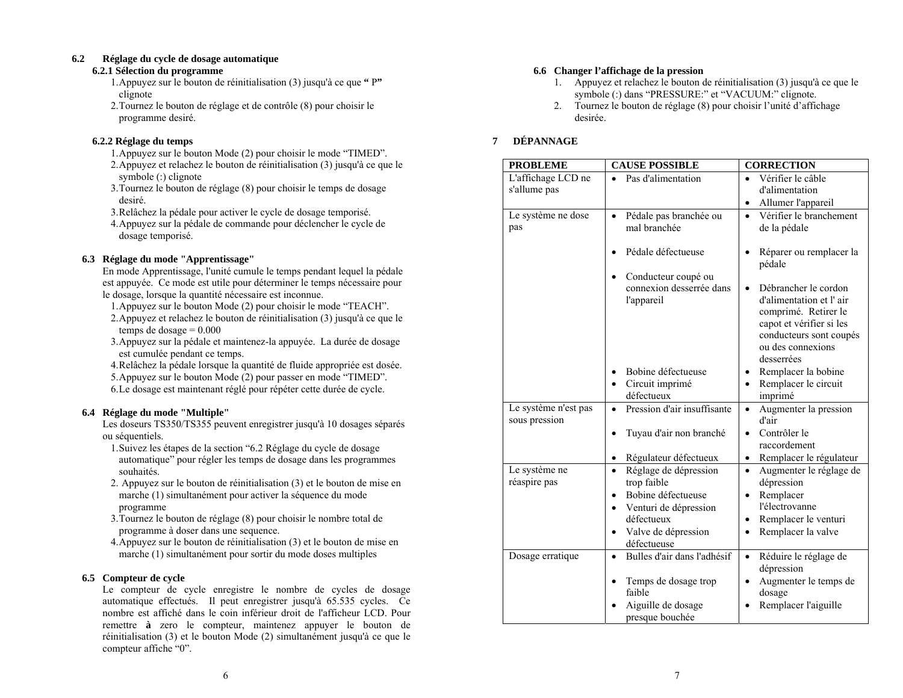#### **6.2Réglage du cycle de dosage automatique**

#### **6.2.1 Sélection du programme**

- 1.Appuyez sur le bouton de réinitialisation (3) jusqu'à ce que **"** P**"** clignote
- 2.Tournez le bouton de réglage et de contrôle (8) pour choisir le programme desiré.

### **6.2.2 Réglage du temps**

- 1.Appuyez sur le bouton Mode (2) pour choisir le mode "TIMED".
- 2.Appuyez et relachez le bouton de réinitialisation (3) jusqu'à ce que le symbole (:) clignote
- 3.Tournez le bouton de réglage (8) pour choisir le temps de dosage desiré.
- 3.Relâchez la pédale pour activer le cycle de dosage temporisé.
- 4.Appuyez sur la pédale de commande pour déclencher le cycle de dosage temporisé.

### **6.3 Réglage du mode "Apprentissage"**

En mode Apprentissage, l'unité cumule le temps pendant lequel la pédale est appuyée. Ce mode est utile pour déterminer le temps nécessaire pour le dosage, lorsque la quantité nécessaire est inconnue.

- 1.Appuyez sur le bouton Mode (2) pour choisir le mode "TEACH".
- 2.Appuyez et relachez le bouton de réinitialisation (3) jusqu'à ce que le temps de dosage  $= 0.000$
- 3.Appuyez sur la pédale et maintenez-la appuyée. La durée de dosage est cumulée pendant ce temps.
- 4.Relâchez la pédale lorsque la quantité de fluide appropriée est dosée.
- 5.Appuyez sur le bouton Mode (2) pour passer en mode "TIMED".
- 6.Le dosage est maintenant réglé pour répéter cette durée de cycle.

### **6.4 Réglage du mode "Multiple"**

Les doseurs TS350/TS355 peuvent enregistrer jusqu'à 10 dosages séparés ou séquentiels.

- 1.Suivez les étapes de la section "6.2 Réglage du cycle de dosage automatique" pour régler les temps de dosage dans les programmes souhaités.
- 2. Appuyez sur le bouton de réinitialisation (3) et le bouton de mise en marche (1) simultanément pour activer la séquence du mode programme
- 3.Tournez le bouton de réglage (8) pour choisir le nombre total de programme à doser dans une sequence.
- 4.Appuyez sur le bouton de réinitialisation (3) et le bouton de mise en marche (1) simultanément pour sortir du mode doses multiples

### **6.5 Compteur de cycle**

Le compteur de cycle enregistre le nombre de cycles de dosage automatique effectués. Il peut enregistrer jusqu'à 65.535 cycles. Ce nombre est affiché dans le coin inférieur droit de l'afficheur LCD. Pour remettre **à** zero le compteur, maintenez appuyer le bouton de réinitialisation (3) et le bouton Mode (2) simultanément jusqu'à ce que le compteur affiche "0".

### **6.6 Changer l'affichage de la pression**

- 1. Appuyez et relachez le bouton de réinitialisation (3) jusqu'à ce que le symbole (:) dans "PRESSURE:" et "VACUUM:" clignote.
- 2. Tournez le bouton de réglage (8) pour choisir l'unité d'affichage desirée.

#### **7DÉPANNAGE**

| <b>PROBLEME</b>                       | <b>CAUSE POSSIBLE</b>                                                   | <b>CORRECTION</b>                                                                                                                                                 |
|---------------------------------------|-------------------------------------------------------------------------|-------------------------------------------------------------------------------------------------------------------------------------------------------------------|
| L'affichage LCD ne                    | Pas d'alimentation                                                      | Vérifier le câble                                                                                                                                                 |
| s'allume pas                          |                                                                         | d'alimentation                                                                                                                                                    |
|                                       |                                                                         | Allumer l'appareil<br>$\bullet$                                                                                                                                   |
| Le système ne dose<br>pas             | Pédale pas branchée ou<br>$\bullet$<br>mal branchée                     | Vérifier le branchement<br>de la pédale                                                                                                                           |
|                                       | Pédale défectueuse<br>Conducteur coupé ou                               | Réparer ou remplacer la<br>pédale                                                                                                                                 |
|                                       | connexion desserrée dans<br>l'appareil                                  | Débrancher le cordon<br>d'alimentation et l'air<br>comprimé. Retirer le<br>capot et vérifier si les<br>conducteurs sont coupés<br>ou des connexions<br>desserrées |
|                                       | Bobine défectueuse                                                      | Remplacer la bobine<br>$\bullet$                                                                                                                                  |
|                                       | Circuit imprimé<br>défectueux                                           | Remplacer le circuit<br>$\bullet$<br>imprimé                                                                                                                      |
| Le système n'est pas<br>sous pression | Pression d'air insuffisante<br>$\bullet$                                | Augmenter la pression<br>$\bullet$<br>d'air                                                                                                                       |
|                                       | Tuyau d'air non branché                                                 | Contrôler le<br>$\bullet$<br>raccordement                                                                                                                         |
|                                       | Régulateur défectueux<br>$\bullet$                                      | Remplacer le régulateur<br>$\bullet$                                                                                                                              |
| Le système ne<br>réaspire pas         | Réglage de dépression<br>$\bullet$<br>trop faible<br>Bobine défectueuse | Augmenter le réglage de<br>$\bullet$<br>dépression                                                                                                                |
|                                       | $\bullet$<br>Venturi de dépression<br>$\bullet$                         | Remplacer<br>$\bullet$<br>l'électrovanne                                                                                                                          |
|                                       | défectueux                                                              | Remplacer le venturi<br>$\bullet$                                                                                                                                 |
|                                       | Valve de dépression<br>$\bullet$                                        | Remplacer la valve<br>$\bullet$                                                                                                                                   |
|                                       | défectueuse                                                             |                                                                                                                                                                   |
| Dosage erratique                      | Bulles d'air dans l'adhésif<br>$\bullet$                                | Réduire le réglage de<br>$\bullet$<br>dépression                                                                                                                  |
|                                       | Temps de dosage trop                                                    | Augmenter le temps de<br>$\bullet$                                                                                                                                |
|                                       | faible                                                                  | dosage                                                                                                                                                            |
|                                       | Aiguille de dosage<br>presque bouchée                                   | Remplacer l'aiguille                                                                                                                                              |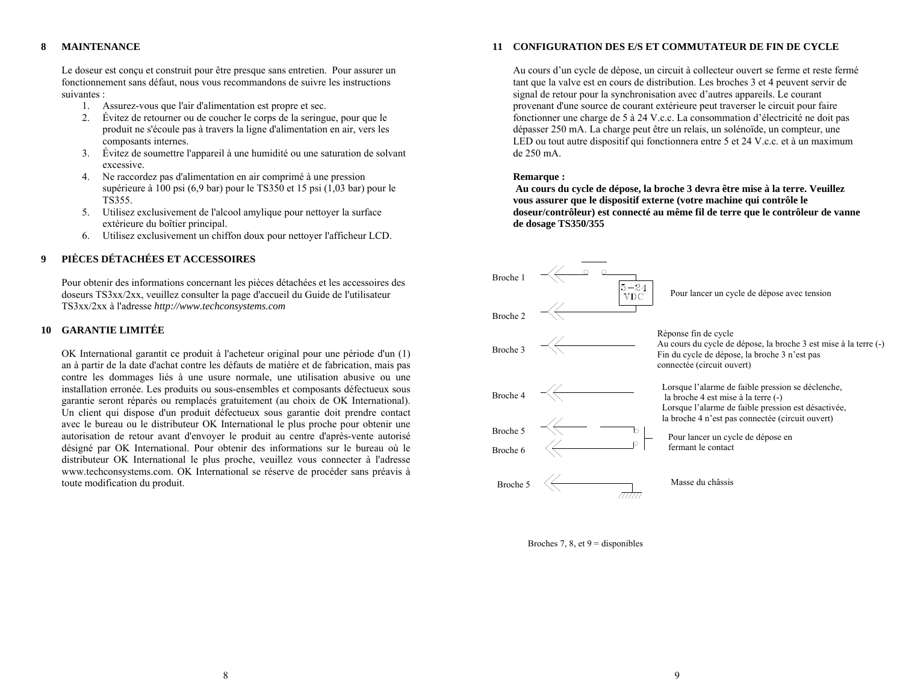#### **8MAINTENANCE**

Le doseur est conçu et construit pour être presque sans entretien. Pour assurer un fonctionnement sans défaut, nous vous recommandons de suivre les instructions suivantes :

- 1. Assurez-vous que l'air d'alimentation est propre et sec.
- 2. Évitez de retourner ou de coucher le corps de la seringue, pour que le produit ne s'écoule pas à travers la ligne d'alimentation en air, vers les composants internes.
- 3. Évitez de soumettre l'appareil à une humidité ou une saturation de solvant excessive.
- 4. Ne raccordez pas d'alimentation en air comprimé à une pression supérieure à 100 psi (6,9 bar) pour le TS350 et 15 psi (1,03 bar) pour le TS355.
- 5. Utilisez exclusivement de l'alcool amylique pour nettoyer la surface extérieure du boîtier principal.
- 6. Utilisez exclusivement un chiffon doux pour nettoyer l'afficheur LCD.

#### **9PIÈCES DÉTACHÉES ET ACCESSOIRES**

Pour obtenir des informations concernant les pièces détachées et les accessoires des doseurs TS3xx/2xx, veuillez consulter la page d'accueil du Guide de l'utilisateur TS3xx/2xx à l'adresse *http://www.techconsystems.com*

#### **10 GARANTIE LIMITÉE**

OK International garantit ce produit à l'acheteur original pour une période d'un (1) an à partir de la date d'achat contre les défauts de matière et de fabrication, mais pas contre les dommages liés à une usure normale, une utilisation abusive ou une installation erronée. Les produits ou sous-ensembles et composants défectueux sous garantie seront réparés ou remplacés gratuitement (au choix de OK International). Un client qui dispose d'un produit défectueux sous garantie doit prendre contact avec le bureau ou le distributeur OK International le plus proche pour obtenir une autorisation de retour avant d'envoyer le produit au centre d'après-vente autorisé désigné par OK International. Pour obtenir des informations sur le bureau où le distributeur OK International le plus proche, veuillez vous connecter à l'adresse www.techconsystems.com. OK International se réserve de procéder sans préavis à toute modification du produit.

#### **11 CONFIGURATION DES E/S ET COMMUTATEUR DE FIN DE CYCLE**

Au cours d'un cycle de dépose, un circuit à collecteur ouvert se ferme et reste fermé tant que la valve est en cours de distribution. Les broches 3 et 4 peuvent servir de signal de retour pour la synchronisation avec d'autres appareils. Le courant provenant d'une source de courant extérieure peut traverser le circuit pour faire fonctionner une charge de 5 à 24 V.c.c. La consommation d'électricité ne doit pas dépasser 250 mA. La charge peut être un relais, un solénoïde, un compteur, une LED ou tout autre dispositif qui fonctionnera entre 5 et 24 V.c.c. et à un maximum de 250 mA.

#### **Remarque :**

 **Au cours du cycle de dépose, la broche 3 devra être mise à la terre. Veuillez vous assurer que le dispositif externe (votre machine qui contrôle le doseur/contrôleur) est connecté au même fil de terre que le contrôleur de vanne de dosage TS350/355** 



Broches 7, 8, et  $9 =$  disponibles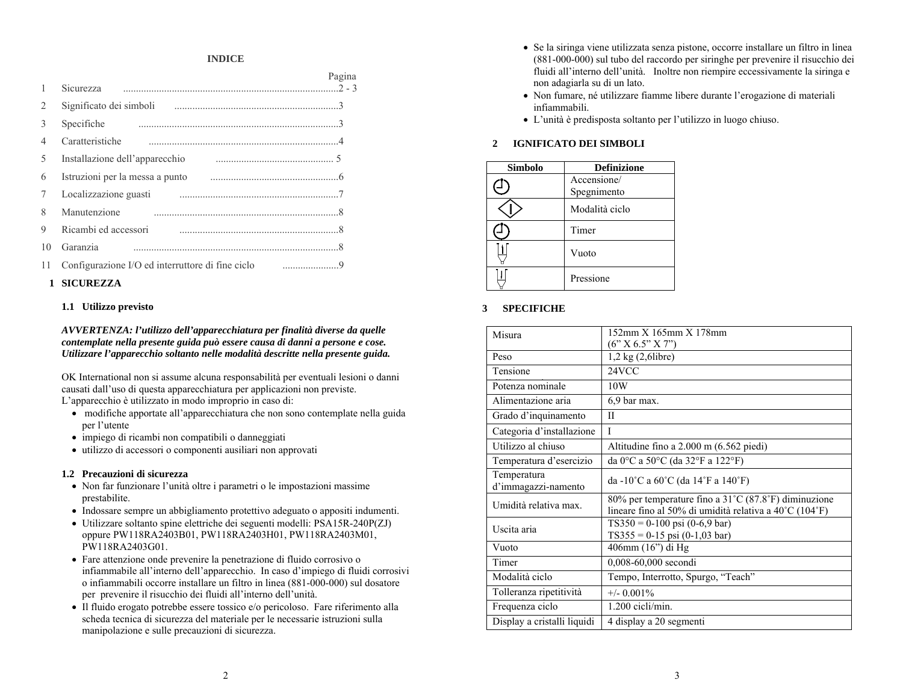### **INDICE**

|                               | Sicurezza                                                                                                      | Pagina |
|-------------------------------|----------------------------------------------------------------------------------------------------------------|--------|
| $\mathfrak{D}_{\mathfrak{p}}$ |                                                                                                                |        |
| 3                             | Specifiche                                                                                                     |        |
| 4                             | Caratteristiche                                                                                                |        |
| 5                             | Installazione dell'apparecchio                                                                                 |        |
| 6                             | Istruzioni per la messa a punto musulmano e contra della contra della messa a punto musulmano di altre di stru |        |
| 7                             | Localizzazione guasti                                                                                          |        |
| $\mathsf{\ }$                 | Manutenzione                                                                                                   |        |
| $\mathbf Q$                   | Ricambi ed accessori                                                                                           |        |
| 10                            | Garanzia                                                                                                       |        |
| 11                            | Configurazione I/O ed interruttore di fine ciclo                                                               |        |

#### **1 SICUREZZA**

#### **1.1 Utilizzo previsto**

*AVVERTENZA: l'utilizzo dell'apparecchiatura per finalità diverse da quelle contemplate nella presente guida può essere causa di danni a persone e cose. Utilizzare l'apparecchio soltanto nelle modalità descritte nella presente guida.*

OK International non si assume alcuna responsabilità per eventuali lesioni o danni causati dall'uso di questa apparecchiatura per applicazioni non previste. L'apparecchio è utilizzato in modo improprio in caso di:

- modifiche apportate all'apparecchiatura che non sono contemplate nella guida per l'utente
- impiego di ricambi non compatibili o danneggiati
- utilizzo di accessori o componenti ausiliari non approvati

#### **1.2 Precauzioni di sicurezza**

- Non far funzionare l'unità oltre i parametri o le impostazioni massime prestabilite.
- Indossare sempre un abbigliamento protettivo adeguato o appositi indumenti.
- Utilizzare soltanto spine elettriche dei seguenti modelli: PSA15R-240P(ZJ) oppure PW118RA2403B01, PW118RA2403H01, PW118RA2403M01, PW118RA2403G01.
- Fare attenzione onde prevenire la penetrazione di fluido corrosivo o infiammabile all'interno dell'apparecchio. In caso d'impiego di fluidi corrosivi o infiammabili occorre installare un filtro in linea (881-000-000) sul dosatore per prevenire il risucchio dei fluidi all'interno dell'unità.
- Il fluido erogato potrebbe essere tossico e/o pericoloso. Fare riferimento alla scheda tecnica di sicurezza del materiale per le necessarie istruzioni sulla manipolazione e sulle precauzioni di sicurezza.
- Se la siringa viene utilizzata senza pistone, occorre installare un filtro in linea (881-000-000) sul tubo del raccordo per siringhe per prevenire il risucchio dei fluidi all'interno dell'unità. Inoltre non riempire eccessivamente la siringa e non adagiarla su di un lato.
- Non fumare, né utilizzare fiamme libere durante l'erogazione di materiali infiammabili.
- L'unità è predisposta soltanto per l'utilizzo in luogo chiuso.

#### **2 IGNIFICATO DEI SIMBOLI**

| Simbolo | <b>Definizione</b> |
|---------|--------------------|
|         | Accensione/        |
|         | Spegnimento        |
|         | Modalità ciclo     |
|         | Timer              |
|         | Vuoto              |
|         | Pressione          |

#### **3SPECIFICHE**

| Misura                             | 152mm X 165mm X 178mm<br>$(6"$ X 6.5" X 7")                                                                      |
|------------------------------------|------------------------------------------------------------------------------------------------------------------|
| Peso                               | $1,2 \text{ kg} (2,6$ libre)                                                                                     |
| Tensione                           | 24VCC                                                                                                            |
| Potenza nominale                   | 10W                                                                                                              |
| Alimentazione aria                 | 6.9 bar max.                                                                                                     |
| Grado d'inquinamento               | $\mathbf{I}$                                                                                                     |
| Categoria d'installazione          | $\mathbf{I}$                                                                                                     |
| Utilizzo al chiuso                 | Altitudine fino a $2.000$ m $(6.562$ piedi)                                                                      |
| Temperatura d'esercizio            | da 0°C a 50°C (da 32°F a 122°F)                                                                                  |
| Temperatura<br>d'immagazzi-namento | da -10°C a $60^{\circ}$ C (da 14°F a 140°F)                                                                      |
| Umidità relativa max.              | 80% per temperature fino a 31 °C (87.8 °F) diminuzione<br>lineare fino al 50% di umidità relativa a 40°C (104°F) |
| Uscita aria                        | $TS350 = 0-100$ psi (0-6,9 bar)<br>$TS355 = 0-15$ psi (0-1,03 bar)                                               |
| Vuoto                              | 406mm (16") di Hg                                                                                                |
| Timer                              | 0,008-60,000 secondi                                                                                             |
| Modalità ciclo                     | Tempo, Interrotto, Spurgo, "Teach"                                                                               |
| Tolleranza ripetitività            | $+/- 0.001\%$                                                                                                    |
| Frequenza ciclo                    | 1.200 cicli/min.                                                                                                 |
| Display a cristalli liquidi        | 4 display a 20 segmenti                                                                                          |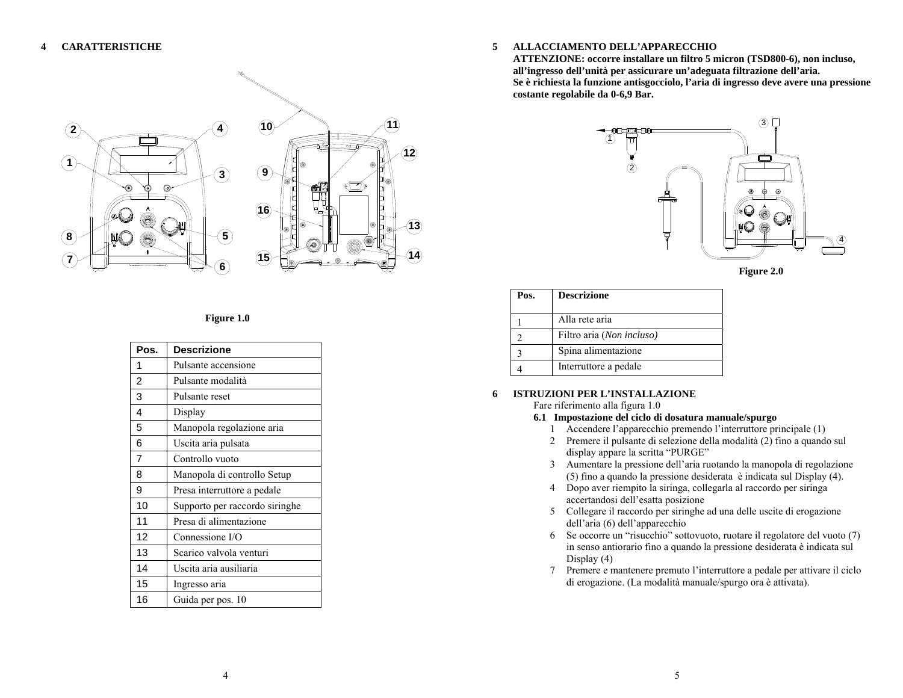

### **Figure 1.0**

| Pos.           | <b>Descrizione</b>             |
|----------------|--------------------------------|
| 1              | Pulsante accensione            |
| $\overline{2}$ | Pulsante modalità              |
| 3              | Pulsante reset                 |
| 4              | Display                        |
| 5              | Manopola regolazione aria      |
| 6              | Uscita aria pulsata            |
| 7              | Controllo vuoto                |
| 8              | Manopola di controllo Setup    |
| 9              | Presa interruttore a pedale    |
| 10             | Supporto per raccordo siringhe |
| 11             | Presa di alimentazione         |
| 12             | Connessione I/O                |
| 13             | Scarico valvola venturi        |
| 14             | Uscita aria ausiliaria         |
| 15             | Ingresso aria                  |
| 16             | Guida per pos. 10              |

#### **5ALLACCIAMENTO DELL'APPARECCHIO**

**ATTENZIONE: occorre installare un filtro 5 micron (TSD800-6), non incluso, all'ingresso dell'unità per assicurare un'adeguata filtrazione dell'aria. Se è richiesta la funzione antisgocciolo, l'aria di ingresso deve avere una pressione costante regolabile da 0-6,9 Bar.** 



**Figure 2.0** 

| Pos. | <b>Descrizione</b>        |
|------|---------------------------|
|      | Alla rete aria            |
|      | Filtro aria (Non incluso) |
|      | Spina alimentazione       |
|      | Interruttore a pedale     |

#### **6 ISTRUZIONI PER L'INSTALLAZIONE**  Fare riferimento alla figura 1.0

- **6.1 Impostazione del ciclo di dosatura manuale/spurgo** 
	- 1 Accendere l'apparecchio premendo l'interruttore principale (1)
	- 2 Premere il pulsante di selezione della modalità (2) fino a quando sul display appare la scritta "PURGE"
	- 3 Aumentare la pressione dell'aria ruotando la manopola di regolazione (5) fino a quando la pressione desiderata è indicata sul Display (4).
	- 4 Dopo aver riempito la siringa, collegarla al raccordo per siringa accertandosi dell'esatta posizione
	- 5 Collegare il raccordo per siringhe ad una delle uscite di erogazione dell'aria (6) dell'apparecchio
	- 6 Se occorre un "risucchio" sottovuoto, ruotare il regolatore del vuoto (7) in senso antiorario fino a quando la pressione desiderata è indicata sul Display (4)
	- 7 Premere e mantenere premuto l'interruttore a pedale per attivare il ciclo di erogazione. (La modalità manuale/spurgo ora è attivata).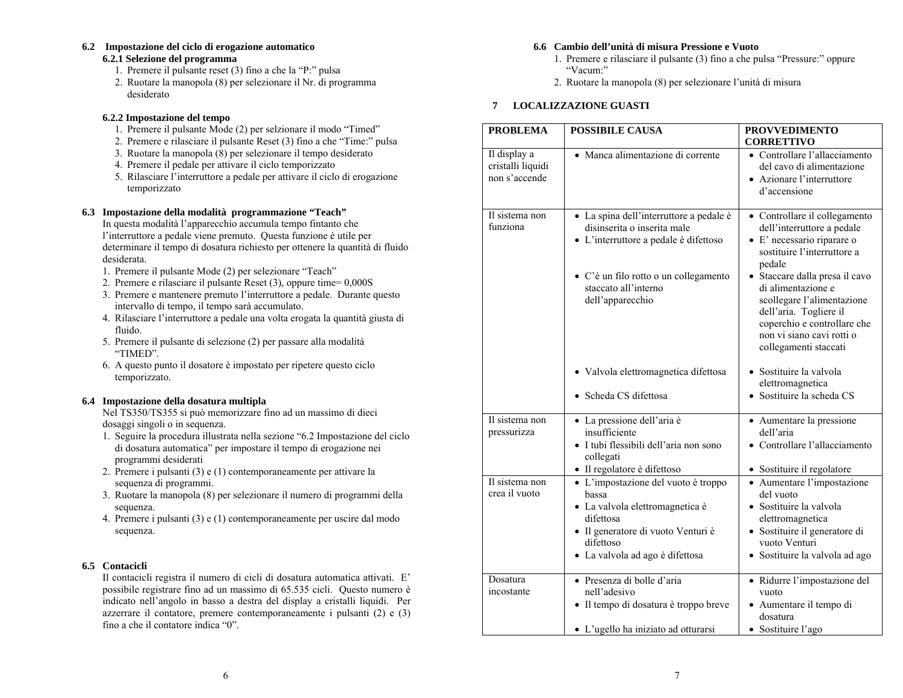### **6.2 Impostazione del ciclo di erogazione automatico**

### **6.2.1 Selezione del programma**

- 1. Premere il pulsante reset (3) fino a che la "P:" pulsa
- 2. Ruotare la manopola (8) per selezionare il Nr. di programma desiderato

#### **6.2.2 Impostazione del tempo**

- 1. Premere il pulsante Mode (2) per selzionare il modo "Timed"
- 2. Premere e rilasciare il pulsante Reset (3) fino a che "Time:" pulsa
- 3. Ruotare la manopola (8) per selezionare il tempo desiderato
- 4. Premere il pedale per attivare il ciclo temporizzato
- 5. Rilasciare l'interruttore a pedale per attivare il ciclo di erogazione temporizzato

#### **6.3 Impostazione della modalità programmazione "Teach"**

In questa modalità l'apparecchio accumula tempo fintanto che l'interruttore a pedale viene premuto. Questa funzione è utile per determinare il tempo di dosatura richiesto per ottenere la quantità di fluido desiderata.

- 1. Premere il pulsante Mode (2) per selezionare "Teach"
- 2. Premere e rilasciare il pulsante Reset (3), oppure time= 0,000S
- 3. Premere e mantenere premuto l'interruttore a pedale. Durante questo intervallo di tempo, il tempo sarà accumulato.
- 4. Rilasciare l'interruttore a pedale una volta erogata la quantità giusta di fluido.
- 5. Premere il pulsante di selezione (2) per passare alla modalità "TIMED".
- 6. A questo punto il dosatore è impostato per ripetere questo ciclo temporizzato.

### **6.4 Impostazione della dosatura multipla**

Nel TS350/TS355 si può memorizzare fino ad un massimo di dieci dosaggi singoli o in sequenza.

- 1. Seguire la procedura illustrata nella sezione "6.2 Impostazione del ciclo di dosatura automatica" per impostare il tempo di erogazione nei programmi desiderati
- 2. Premere i pulsanti (3) e (1) contemporaneamente per attivare la sequenza di programmi.
- 3. Ruotare la manopola (8) per selezionare il numero di programmi della sequenza.
- 4. Premere i pulsanti (3) e (1) contemporaneamente per uscire dal modo sequenza.

### **6.5 Contacicli**

Il contacicli registra il numero di cicli di dosatura automatica attivati. E' possibile registrare fino ad un massimo di 65.535 cicli. Questo numero è indicato nell'angolo in basso a destra del display a cristalli liquidi. Per azzerrare il contatore, premere contemporaneamente i pulsanti (2) e (3) fino a che il contatore indica "0".

#### **6.6 Cambio dell'unità di misura Pressione e Vuoto**

- 1. Premere e rilasciare il pulsante (3) fino a che pulsa "Pressure:" oppure "Vacum:"
- 2. Ruotare la manopola (8) per selezionare l'unità di misura

### **7 LOCALIZZAZIONE GUASTI**

| <b>PROBLEMA</b>                                    | <b>POSSIBILE CAUSA</b>                                                                                                                                                                               | <b>PROVVEDIMENTO</b><br><b>CORRETTIVO</b>                                                                                                                                                                                                                                                                                               |
|----------------------------------------------------|------------------------------------------------------------------------------------------------------------------------------------------------------------------------------------------------------|-----------------------------------------------------------------------------------------------------------------------------------------------------------------------------------------------------------------------------------------------------------------------------------------------------------------------------------------|
| Il display a<br>cristalli liquidi<br>non s'accende | · Manca alimentazione di corrente                                                                                                                                                                    | • Controllare l'allacciamento<br>del cavo di alimentazione<br>• Azionare l'interruttore<br>d'accensione                                                                                                                                                                                                                                 |
| Il sistema non<br>funziona                         | · La spina dell'interruttore a pedale è<br>disinserita o inserita male<br>• L'interruttore a pedale è difettoso<br>• C'è un filo rotto o un collegamento<br>staccato all'interno<br>dell'apparecchio | • Controllare il collegamento<br>dell'interruttore a pedale<br>• E' necessario riparare o<br>sostituire l'interruttore a<br>pedale<br>· Staccare dalla presa il cavo<br>di alimentazione e<br>scollegare l'alimentazione<br>dell'aria. Togliere il<br>coperchio e controllare che<br>non vi siano cavi rotti o<br>collegamenti staccati |
|                                                    | · Valvola elettromagnetica difettosa<br>• Scheda CS difettosa                                                                                                                                        | • Sostituire la valvola<br>elettromagnetica<br>· Sostituire la scheda CS                                                                                                                                                                                                                                                                |
| Il sistema non<br>pressurizza                      | · La pressione dell'aria è<br>insufficiente<br>· I tubi flessibili dell'aria non sono<br>collegati<br>· Il regolatore è difettoso                                                                    | • Aumentare la pressione<br>dell'aria<br>• Controllare l'allacciamento<br>· Sostituire il regolatore                                                                                                                                                                                                                                    |
| Il sistema non<br>crea il vuoto                    | • L'impostazione del vuoto è troppo<br>bassa<br>· La valvola elettromagnetica è<br>difettosa<br>· Il generatore di vuoto Venturi è<br>difettoso<br>· La valvola ad ago è difettosa                   | • Aumentare l'impostazione<br>del vuoto<br>· Sostituire la valvola<br>elettromagnetica<br>· Sostituire il generatore di<br>vuoto Venturi<br>· Sostituire la valvola ad ago                                                                                                                                                              |
| Dosatura<br>incostante                             | · Presenza di bolle d'aria<br>nell'adesivo<br>· Il tempo di dosatura è troppo breve<br>· L'ugello ha iniziato ad otturarsi                                                                           | · Ridurre l'impostazione del<br>vuoto<br>· Aumentare il tempo di<br>dosatura<br>· Sostituire l'ago                                                                                                                                                                                                                                      |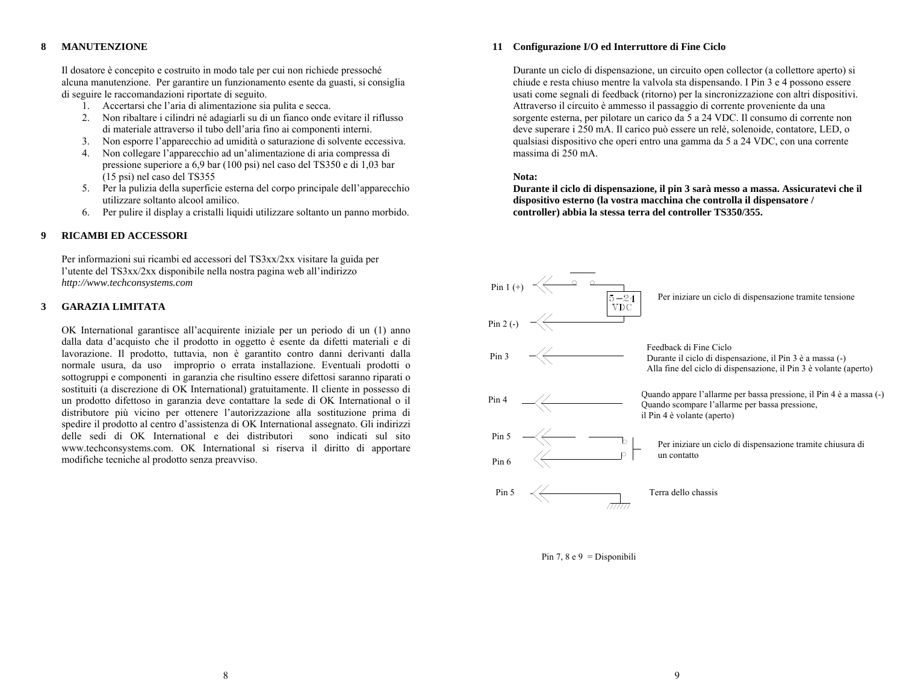#### **8MANUTENZIONE**

Il dosatore è concepito e costruito in modo tale per cui non richiede pressoché alcuna manutenzione. Per garantire un funzionamento esente da guasti, si consiglia di seguire le raccomandazioni riportate di seguito.

- 1. Accertarsi che l'aria di alimentazione sia pulita e secca.
- 2. Non ribaltare i cilindri né adagiarli su di un fianco onde evitare il riflusso di materiale attraverso il tubo dell'aria fino ai componenti interni.
- 3. Non esporre l'apparecchio ad umidità o saturazione di solvente eccessiva.
- 4. Non collegare l'apparecchio ad un'alimentazione di aria compressa di pressione superiore a 6,9 bar (100 psi) nel caso del TS350 e di 1,03 bar (15 psi) nel caso del TS355
- 5. Per la pulizia della superficie esterna del corpo principale dell'apparecchio utilizzare soltanto alcool amilico.
- 6. Per pulire il display a cristalli liquidi utilizzare soltanto un panno morbido.

#### **9RICAMBI ED ACCESSORI**

Per informazioni sui ricambi ed accessori del TS3xx/2xx visitare la guida per l'utente del TS3xx/2xx disponibile nella nostra pagina web all'indirizzo *http://www.techconsystems.com*

#### **3GARAZIA LIMITATA**

OK International garantisce all'acquirente iniziale per un periodo di un (1) anno dalla data d'acquisto che il prodotto in oggetto è esente da difetti materiali e di lavorazione. Il prodotto, tuttavia, non è garantito contro danni derivanti dalla normale usura, da uso improprio o errata installazione. Eventuali prodotti o sottogruppi e componenti in garanzia che risultino essere difettosi saranno riparati o sostituiti (a discrezione di OK International) gratuitamente. Il cliente in possesso di un prodotto difettoso in garanzia deve contattare la sede di OK International o il distributore più vicino per ottenere l'autorizzazione alla sostituzione prima di spedire il prodotto al centro d'assistenza di OK International assegnato. Gli indirizzi delle sedi di OK International e dei distributori sono indicati sul sito www.techconsystems.com. OK International si riserva il diritto di apportare modifiche tecniche al prodotto senza preavviso.

#### **11 Configurazione I/O ed Interruttore di Fine Ciclo**

Durante un ciclo di dispensazione, un circuito open collector (a collettore aperto) si chiude e resta chiuso mentre la valvola sta dispensando. I Pin 3 e 4 possono essere usati come segnali di feedback (ritorno) per la sincronizzazione con altri dispositivi. Attraverso il circuito è ammesso il passaggio di corrente proveniente da una sorgente esterna, per pilotare un carico da 5 a 24 VDC. Il consumo di corrente non deve superare i 250 mA. Il carico può essere un relè, solenoide, contatore, LED, o qualsiasi dispositivo che operi entro una gamma da 5 a 24 VDC, con una corrente massima di 250 mA.

#### **Nota:**

**Durante il ciclo di dispensazione, il pin 3 sarà messo a massa. Assicuratevi che il dispositivo esterno (la vostra macchina che controlla il dispensatore / controller) abbia la stessa terra del controller TS350/355.** 



Pin 7, 8 e 9 = Disponibili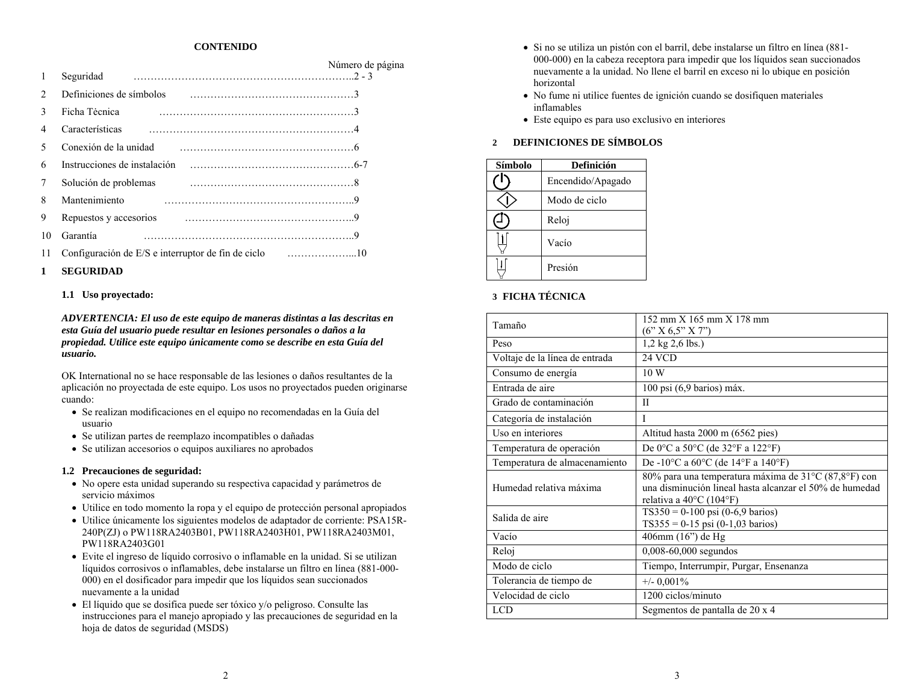#### **CONTENIDO**

| 1                             | Seguridad                    | Número de página |
|-------------------------------|------------------------------|------------------|
| $\mathfrak{D}_{\mathfrak{p}}$ | Definiciones de símbolos     |                  |
| $\mathbf{3}$                  | Ficha Tecnica                |                  |
| 4                             | Características              |                  |
| 5                             | Conexión de la unidad        |                  |
| 6                             | Instrucciones de instalación |                  |
| 7                             | Solución de problemas        |                  |
| 8                             | Mantenimiento                |                  |
| 9                             | Repuestos y accesorios       |                  |
| 10                            | Garantía                     |                  |
| 11                            |                              |                  |

#### **1SEGURIDAD**

#### **1.1 Uso proyectado:**

*ADVERTENCIA: El uso de este equipo de maneras distintas a las descritas en esta Guía del usuario puede resultar en lesiones personales o daños a la propiedad. Utilice este equipo únicamente como se describe en esta Guía del usuario.*

OK International no se hace responsable de las lesiones o daños resultantes de la aplicación no proyectada de este equipo. Los usos no proyectados pueden originarse cuando:

- Se realizan modificaciones en el equipo no recomendadas en la Guía del usuario
- Se utilizan partes de reemplazo incompatibles o dañadas
- Se utilizan accesorios o equipos auxiliares no aprobados

#### **1.2 Precauciones de seguridad:**

- No opere esta unidad superando su respectiva capacidad y parámetros de servicio máximos
- Utilice en todo momento la ropa y el equipo de protección personal apropiados
- Utilice únicamente los siguientes modelos de adaptador de corriente: PSA15R-240P(ZJ) o PW118RA2403B01, PW118RA2403H01, PW118RA2403M01, PW118RA2403G01
- Evite el ingreso de líquido corrosivo o inflamable en la unidad. Si se utilizan líquidos corrosivos o inflamables, debe instalarse un filtro en línea (881-000- 000) en el dosificador para impedir que los líquidos sean succionados nuevamente a la unidad
- El líquido que se dosifica puede ser tóxico y/o peligroso. Consulte las instrucciones para el manejo apropiado y las precauciones de seguridad en la hoja de datos de seguridad (MSDS)
- Si no se utiliza un pistón con el barril, debe instalarse un filtro en línea (881- 000-000) en la cabeza receptora para impedir que los líquidos sean succionados nuevamente a la unidad. No llene el barril en exceso ni lo ubique en posición horizontal
- No fume ni utilice fuentes de ignición cuando se dosifiquen materiales inflamables
- Este equipo es para uso exclusivo en interiores

#### **2DEFINICIONES DE SÍMBOLOS**

| Símbolo | Definición        |
|---------|-------------------|
|         | Encendido/Apagado |
|         | Modo de ciclo     |
|         | Reloj             |
|         | Vacío             |
|         | Presión           |

### **3 FICHA TÉCNICA**

| Tamaño                         | 152 mm X 165 mm X 178 mm                                                                                                                             |
|--------------------------------|------------------------------------------------------------------------------------------------------------------------------------------------------|
|                                | (6'' X 6.5'' X 7'')                                                                                                                                  |
| Peso                           | $1,2$ kg $2,6$ lbs.)                                                                                                                                 |
| Voltaje de la línea de entrada | 24 VCD                                                                                                                                               |
| Consumo de energía             | 10 W                                                                                                                                                 |
| Entrada de aire                | $100$ psi $(6.9$ barios) máx.                                                                                                                        |
| Grado de contaminación         | П                                                                                                                                                    |
| Categoría de instalación       | I                                                                                                                                                    |
| Uso en interiores              | Altitud hasta 2000 m (6562 pies)                                                                                                                     |
| Temperatura de operación       | De 0°C a 50°C (de 32°F a 122°F)                                                                                                                      |
| Temperatura de almacenamiento  | De -10°C a 60°C (de 14°F a 140°F)                                                                                                                    |
| Humedad relativa máxima        | 80% para una temperatura máxima de 31°C (87,8°F) con<br>una disminución lineal hasta alcanzar el 50% de humedad<br>relativa a $40^{\circ}$ C (104°F) |
| Salida de aire                 | $TS350 = 0-100$ psi (0-6,9 barios)<br>$TS355 = 0-15$ psi (0-1,03 barios)                                                                             |
| Vacío                          | 406mm (16") de Hg                                                                                                                                    |
| Reloj                          | 0,008-60,000 segundos                                                                                                                                |
| Modo de ciclo                  | Tiempo, Interrumpir, Purgar, Ensenanza                                                                                                               |
| Tolerancia de tiempo de        | $+/- 0,001\%$                                                                                                                                        |
| Velocidad de ciclo             | 1200 ciclos/minuto                                                                                                                                   |
| <b>LCD</b>                     | Segmentos de pantalla de 20 x 4                                                                                                                      |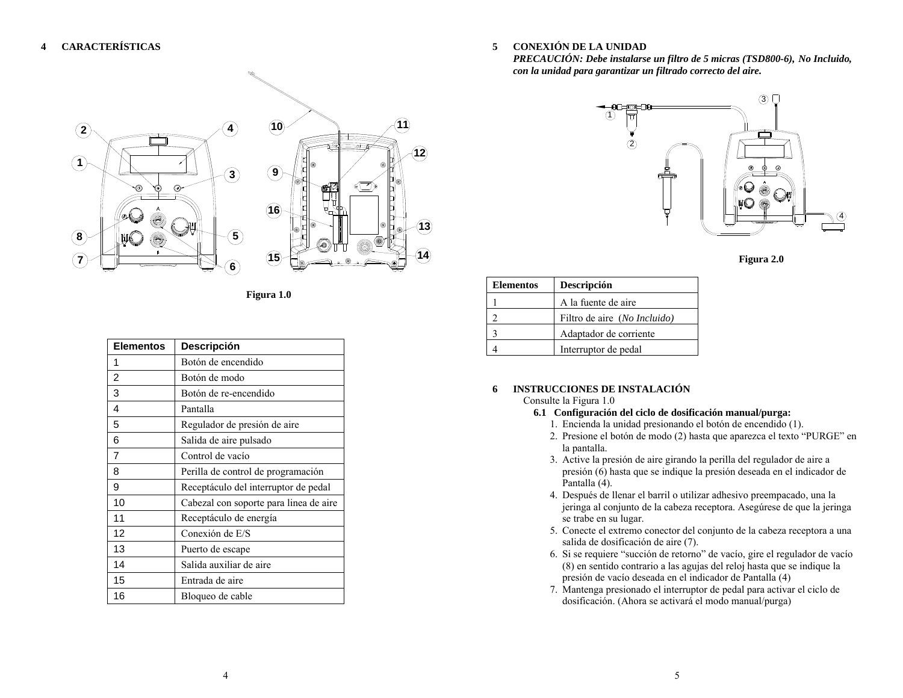

**Figura 1.0** 

| <b>Elementos</b> | <b>Descripción</b>                     |
|------------------|----------------------------------------|
| 1                | Botón de encendido                     |
| $\overline{c}$   | Botón de modo                          |
| 3                | Botón de re-encendido                  |
| 4                | Pantalla                               |
| 5                | Regulador de presión de aire           |
| 6                | Salida de aire pulsado                 |
| $\overline{7}$   | Control de vacío                       |
| 8                | Perilla de control de programación     |
| 9                | Receptáculo del interruptor de pedal   |
| 10               | Cabezal con soporte para linea de aire |
| 11               | Receptáculo de energía                 |
| 12               | Conexión de E/S                        |
| 13               | Puerto de escape                       |
| 14               | Salida auxiliar de aire                |
| 15               | Entrada de aire                        |
| 16               | Bloqueo de cable                       |

**5CONEXIÓN DE LA UNIDAD** 

*PRECAUCIÓN: Debe instalarse un filtro de 5 micras (TSD800-6), No Incluido, con la unidad para garantizar un filtrado correcto del aire.* 



**Figura 2.0** 

| <b>Elementos</b> | Descripción                  |
|------------------|------------------------------|
|                  | A la fuente de aire          |
|                  | Filtro de aire (No Incluido) |
|                  | Adaptador de corriente       |
|                  | Interruptor de pedal         |

### **6 INSTRUCCIONES DE INSTALACIÓN**

#### Consulte la Figura 1.0

- **6.1 Configuración del ciclo de dosificación manual/purga:** 
	- 1. Encienda la unidad presionando el botón de encendido (1).
	- 2. Presione el botón de modo (2) hasta que aparezca el texto "PURGE" en la pantalla.
	- 3. Active la presión de aire girando la perilla del regulador de aire a presión (6) hasta que se indique la presión deseada en el indicador de Pantalla (4).
	- 4. Después de llenar el barril o utilizar adhesivo preempacado, una la jeringa al conjunto de la cabeza receptora. Asegúrese de que la jeringa se trabe en su lugar.
	- 5. Conecte el extremo conector del conjunto de la cabeza receptora a una salida de dosificación de aire (7).
	- 6. Si se requiere "succión de retorno" de vacío, gire el regulador de vacío (8) en sentido contrario a las agujas del reloj hasta que se indique la presión de vacío deseada en el indicador de Pantalla (4)
	- 7. Mantenga presionado el interruptor de pedal para activar el ciclo de dosificación. (Ahora se activará el modo manual/purga)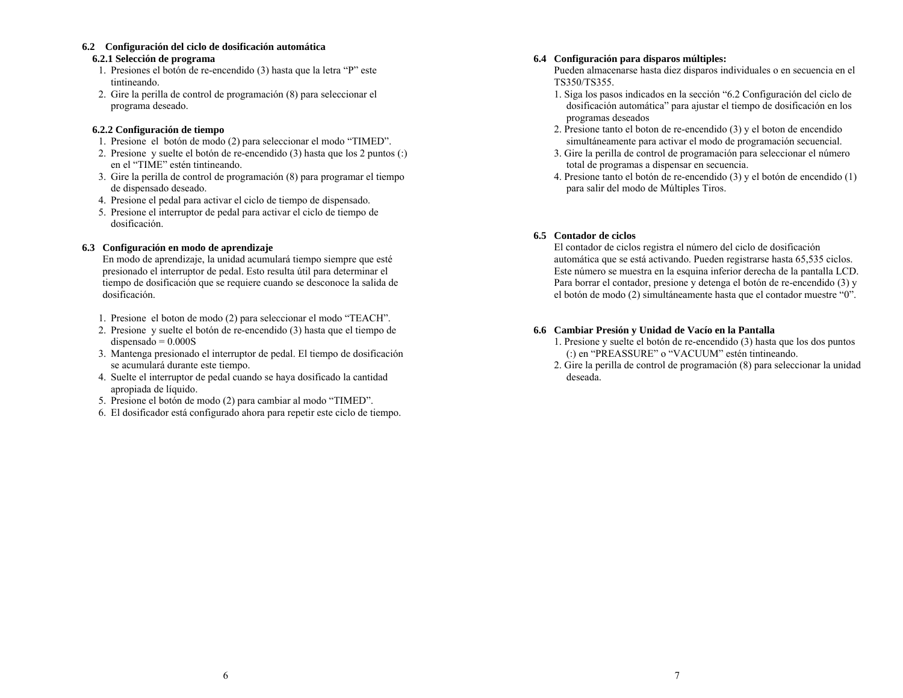### **6.2 Configuración del ciclo de dosificación automática**

#### **6.2.1 Selección de programa**

- 1. Presiones el botón de re-encendido (3) hasta que la letra "P" este tintineando.
- 2. Gire la perilla de control de programación (8) para seleccionar el programa deseado.

#### **6.2.2 Configuración de tiempo**

- 1. Presione el botón de modo (2) para seleccionar el modo "TIMED".
- 2. Presione y suelte el botón de re-encendido (3) hasta que los 2 puntos (:) en el "TIME" estén tintineando.
- 3. Gire la perilla de control de programación (8) para programar el tiempo de dispensado deseado.
- 4. Presione el pedal para activar el ciclo de tiempo de dispensado.
- 5. Presione el interruptor de pedal para activar el ciclo de tiempo de dosificación.

### **6.3 Configuración en modo de aprendizaje**

En modo de aprendizaje, la unidad acumulará tiempo siempre que esté presionado el interruptor de pedal. Esto resulta útil para determinar el tiempo de dosificación que se requiere cuando se desconoce la salida de dosificación.

- 1. Presione el boton de modo (2) para seleccionar el modo "TEACH".
- 2. Presione y suelte el botón de re-encendido (3) hasta que el tiempo de  $d$ ispensado =  $0.000$ S
- 3. Mantenga presionado el interruptor de pedal. El tiempo de dosificación se acumulará durante este tiempo.
- 4. Suelte el interruptor de pedal cuando se haya dosificado la cantidad apropiada de líquido.
- 5. Presione el botón de modo (2) para cambiar al modo "TIMED".
- 6. El dosificador está configurado ahora para repetir este ciclo de tiempo.

#### **6.4 Configuración para disparos múltiples:**

Pueden almacenarse hasta diez disparos individuales o en secuencia en el TS350/TS355.

- 1. Siga los pasos indicados en la sección "6.2 Configuración del ciclo de dosificación automática" para ajustar el tiempo de dosificación en los programas deseados
- 2. Presione tanto el boton de re-encendido (3) y el boton de encendido simultáneamente para activar el modo de programación secuencial.
- 3. Gire la perilla de control de programación para seleccionar el número total de programas a dispensar en secuencia.
- 4. Presione tanto el botón de re-encendido (3) y el botón de encendido (1) para salir del modo de Múltiples Tiros.

### **6.5 Contador de ciclos**

El contador de ciclos registra el número del ciclo de dosificación automática que se está activando. Pueden registrarse hasta 65,535 ciclos. Este número se muestra en la esquina inferior derecha de la pantalla LCD. Para borrar el contador, presione y detenga el botón de re-encendido (3) y el botón de modo (2) simultáneamente hasta que el contador muestre "0".

### **6.6 Cambiar Presión y Unidad de Vacío en la Pantalla**

- 1. Presione y suelte el botón de re-encendido (3) hasta que los dos puntos (:) en "PREASSURE" o "VACUUM" estén tintineando.
- 2. Gire la perilla de control de programación (8) para seleccionar la unidad deseada.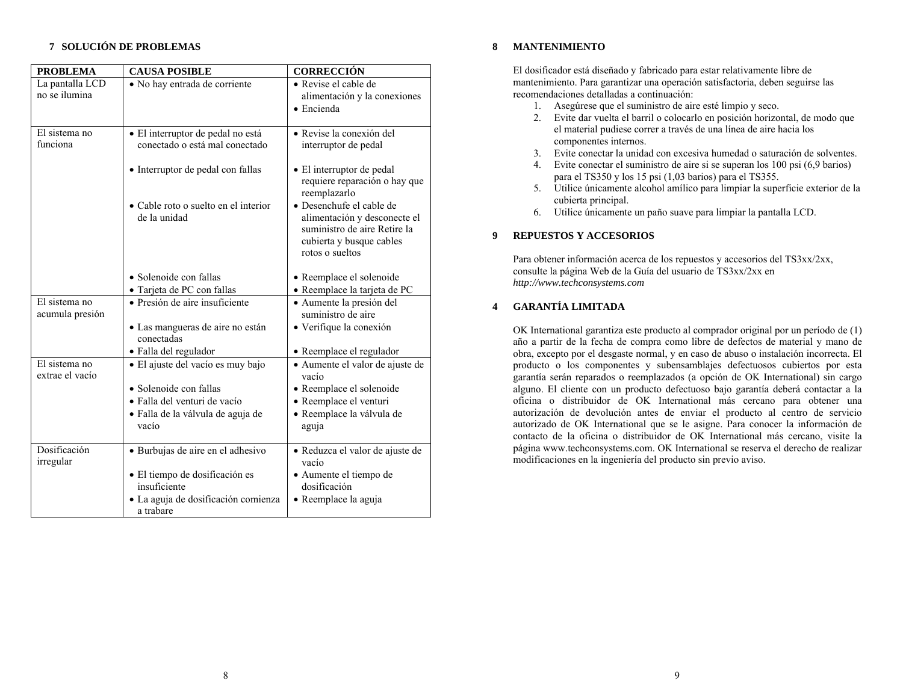### **7 SOLUCIÓN DE PROBLEMAS**

| <b>PROBLEMA</b>                  | <b>CAUSA POSIBLE</b>                                                                                                                    | <b>CORRECCIÓN</b>                                                                                           |
|----------------------------------|-----------------------------------------------------------------------------------------------------------------------------------------|-------------------------------------------------------------------------------------------------------------|
| La pantalla LCD<br>no se ilumina | • No hay entrada de corriente                                                                                                           | • Revise el cable de<br>alimentación y la conexiones<br>• Encienda                                          |
| El sistema no<br>funciona        | · El interruptor de pedal no está<br>conectado o está mal conectado                                                                     | · Revise la conexión del<br>interruptor de pedal                                                            |
|                                  | • Interruptor de pedal con fallas<br>• Cable roto o suelto en el interior                                                               | • El interruptor de pedal<br>requiere reparación o hay que<br>reemplazarlo<br>· Desenchufe el cable de      |
|                                  | de la unidad                                                                                                                            | alimentación y desconecte el<br>suministro de aire Retire la<br>cubierta y busque cables<br>rotos o sueltos |
|                                  | • Solenoide con fallas<br>· Tarjeta de PC con fallas                                                                                    | • Reemplace el solenoide<br>· Reemplace la tarjeta de PC                                                    |
| El sistema no<br>acumula presión | • Presión de aire insuficiente<br>• Las mangueras de aire no están                                                                      | • Aumente la presión del<br>suministro de aire<br>· Verifique la conexión                                   |
|                                  | conectadas<br>· Falla del regulador                                                                                                     | • Reemplace el regulador                                                                                    |
| El sistema no<br>extrae el vacío | • El ajuste del vacío es muy bajo                                                                                                       | · Aumente el valor de ajuste de<br>vacío                                                                    |
|                                  | • Solenoide con fallas<br>• Falla del venturi de vacío<br>· Falla de la válvula de aguja de<br>vacío                                    | · Reemplace el solenoide<br>• Reemplace el venturi<br>· Reemplace la válvula de<br>aguja                    |
| Dosificación<br>irregular        | · Burbujas de aire en el adhesivo<br>· El tiempo de dosificación es<br>insuficiente<br>· La aguja de dosificación comienza<br>a trabare | · Reduzca el valor de ajuste de<br>vacío<br>· Aumente el tiempo de<br>dosificación<br>· Reemplace la aguja  |

#### **8MANTENIMIENTO**

El dosificador está diseñado y fabricado para estar relativamente libre de mantenimiento. Para garantizar una operación satisfactoria, deben seguirse las recomendaciones detalladas a continuación:

- 1. Asegúrese que el suministro de aire esté limpio y seco.
- 2. Evite dar vuelta el barril o colocarlo en posición horizontal, de modo que el material pudiese correr a través de una línea de aire hacia los componentes internos.
- 3. Evite conectar la unidad con excesiva humedad o saturación de solventes.
- 4. Evite conectar el suministro de aire si se superan los 100 psi (6,9 barios) para el TS350 y los 15 psi (1,03 barios) para el TS355.
- 5. Utilice únicamente alcohol amílico para limpiar la superficie exterior de la cubierta principal.
- 6. Utilice únicamente un paño suave para limpiar la pantalla LCD.

#### **9REPUESTOS Y ACCESORIOS**

Para obtener información acerca de los repuestos y accesorios del TS3xx/2xx, consulte la página Web de la Guía del usuario de TS3xx/2xx en *http://www.techconsystems.com*

#### **4GARANTÍA LIMITADA**

OK International garantiza este producto al comprador original por un período de (1) año a partir de la fecha de compra como libre de defectos de material y mano de obra, excepto por el desgaste normal, y en caso de abuso o instalación incorrecta. El producto o los componentes y subensamblajes defectuosos cubiertos por esta garantía serán reparados o reemplazados (a opción de OK International) sin cargo alguno. El cliente con un producto defectuoso bajo garantía deberá contactar a la oficina o distribuidor de OK International más cercano para obtener una autorización de devolución antes de enviar el producto al centro de servicio autorizado de OK International que se le asigne. Para conocer la información de contacto de la oficina o distribuidor de OK International más cercano, visite la página www.techconsystems.com. OK International se reserva el derecho de realizar modificaciones en la ingeniería del producto sin previo aviso.